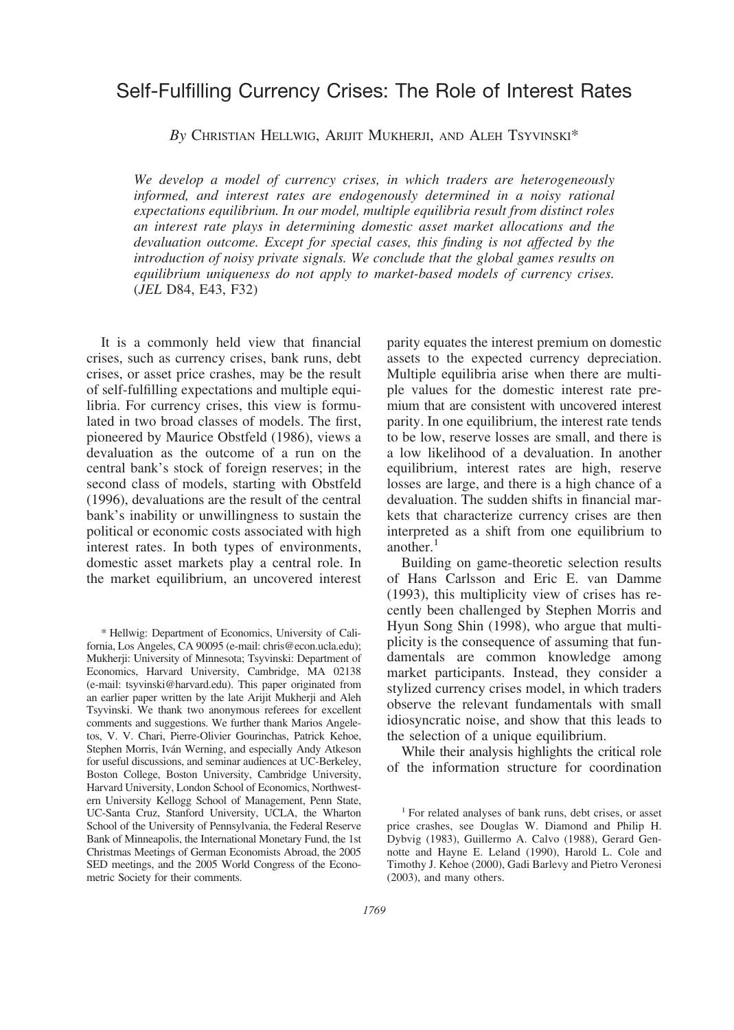By CHRISTIAN HELLWIG, ARIJIT MUKHERJI, AND ALEH TSYVINSKI\*

We develop a model of currency crises, in which traders are heterogeneously informed, and interest rates are endogenously determined in a noisy rational expectations equilibrium. In our model, multiple equilibria result from distinct roles an interest rate plays in determining domestic asset market allocations and the devaluation outcome. Except for special cases, this finding is not affected by the introduction of noisy private signals. We conclude that the global games results on equilibrium uniqueness do not apply to market-based models of currency crises. (*JEL D84*, E43, F32)

It is a commonly held view that financial crises, such as currency crises, bank runs, debt crises, or asset price crashes, may be the result of self-fulfilling expectations and multiple equilibria. For currency crises, this view is formulated in two broad classes of models. The first, pioneered by Maurice Obstfeld (1986), views a devaluation as the outcome of a run on the central bank's stock of foreign reserves; in the second class of models, starting with Obstfeld (1996), devaluations are the result of the central bank's inability or unwillingness to sustain the political or economic costs associated with high interest rates. In both types of environments, domestic asset markets play a central role. In the market equilibrium, an uncovered interest

\* Hellwig: Department of Economics, University of California, Los Angeles, CA 90095 (e-mail: chris@econ.ucla.edu); Mukherji: University of Minnesota; Tsyvinski: Department of Economics, Harvard University, Cambridge, MA 02138 (e-mail: tsyvinski@harvard.edu). This paper originated from an earlier paper written by the late Arijit Mukherji and Aleh Tsyvinski. We thank two anonymous referees for excellent comments and suggestions. We further thank Marios Angeletos, V. V. Chari, Pierre-Olivier Gourinchas, Patrick Kehoe, Stephen Morris, Iván Werning, and especially Andy Atkeson for useful discussions, and seminar audiences at UC-Berkeley, Boston College, Boston University, Cambridge University, Harvard University, London School of Economics, Northwestern University Kellogg School of Management, Penn State, UC-Santa Cruz, Stanford University, UCLA, the Wharton School of the University of Pennsylvania, the Federal Reserve Bank of Minneapolis, the International Monetary Fund, the 1st Christmas Meetings of German Economists Abroad, the 2005 SED meetings, and the 2005 World Congress of the Econometric Society for their comments.

parity equates the interest premium on domestic assets to the expected currency depreciation. Multiple equilibria arise when there are multiple values for the domestic interest rate premium that are consistent with uncovered interest parity. In one equilibrium, the interest rate tends to be low, reserve losses are small, and there is a low likelihood of a devaluation. In another equilibrium, interest rates are high, reserve losses are large, and there is a high chance of a devaluation. The sudden shifts in financial markets that characterize currency crises are then interpreted as a shift from one equilibrium to another. $1$ 

Building on game-theoretic selection results of Hans Carlsson and Eric E. van Damme (1993), this multiplicity view of crises has recently been challenged by Stephen Morris and Hyun Song Shin (1998), who argue that multiplicity is the consequence of assuming that fundamentals are common knowledge among market participants. Instead, they consider a stylized currency crises model, in which traders observe the relevant fundamentals with small idiosyncratic noise, and show that this leads to the selection of a unique equilibrium.

While their analysis highlights the critical role of the information structure for coordination

<sup>&</sup>lt;sup>1</sup> For related analyses of bank runs, debt crises, or asset price crashes, see Douglas W. Diamond and Philip H. Dybvig (1983), Guillermo A. Calvo (1988), Gerard Gennotte and Hayne E. Leland (1990), Harold L. Cole and Timothy J. Kehoe (2000), Gadi Barlevy and Pietro Veronesi  $(2003)$ , and many others.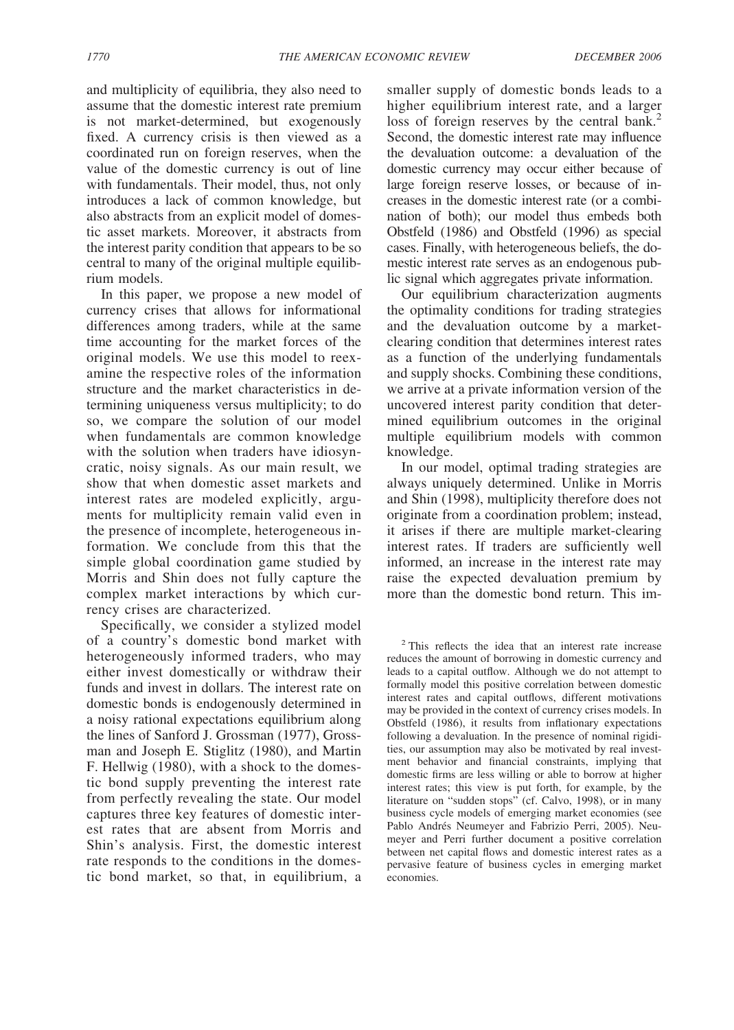and multiplicity of equilibria, they also need to assume that the domestic interest rate premium is not market-determined, but exogenously fixed. A currency crisis is then viewed as a coordinated run on foreign reserves, when the value of the domestic currency is out of line with fundamentals. Their model, thus, not only introduces a lack of common knowledge, but also abstracts from an explicit model of domestic asset markets. Moreover, it abstracts from the interest parity condition that appears to be so central to many of the original multiple equilibrium models.

In this paper, we propose a new model of currency crises that allows for informational differences among traders, while at the same time accounting for the market forces of the original models. We use this model to reexamine the respective roles of the information structure and the market characteristics in determining uniqueness versus multiplicity; to do so, we compare the solution of our model when fundamentals are common knowledge with the solution when traders have idiosyncratic, noisy signals. As our main result, we show that when domestic asset markets and interest rates are modeled explicitly, arguments for multiplicity remain valid even in the presence of incomplete, heterogeneous information. We conclude from this that the simple global coordination game studied by Morris and Shin does not fully capture the complex market interactions by which currency crises are characterized.

Specifically, we consider a stylized model of a country's domestic bond market with heterogeneously informed traders, who may either invest domestically or withdraw their funds and invest in dollars. The interest rate on domestic bonds is endogenously determined in a noisy rational expectations equilibrium along the lines of Sanford J. Grossman (1977), Grossman and Joseph E. Stiglitz (1980), and Martin F. Hellwig (1980), with a shock to the domestic bond supply preventing the interest rate from perfectly revealing the state. Our model captures three key features of domestic interest rates that are absent from Morris and Shin's analysis. First, the domestic interest rate responds to the conditions in the domestic bond market, so that, in equilibrium, a

smaller supply of domestic bonds leads to a higher equilibrium interest rate, and a larger loss of foreign reserves by the central bank.<sup>2</sup> Second, the domestic interest rate may influence the devaluation outcome: a devaluation of the domestic currency may occur either because of large foreign reserve losses, or because of increases in the domestic interest rate (or a combination of both); our model thus embeds both Obstfeld (1986) and Obstfeld (1996) as special cases. Finally, with heterogeneous beliefs, the domestic interest rate serves as an endogenous public signal which aggregates private information.

Our equilibrium characterization augments the optimality conditions for trading strategies and the devaluation outcome by a marketclearing condition that determines interest rates as a function of the underlying fundamentals and supply shocks. Combining these conditions, we arrive at a private information version of the uncovered interest parity condition that determined equilibrium outcomes in the original multiple equilibrium models with common knowledge.

In our model, optimal trading strategies are always uniquely determined. Unlike in Morris and Shin (1998), multiplicity therefore does not originate from a coordination problem; instead, it arises if there are multiple market-clearing interest rates. If traders are sufficiently well informed, an increase in the interest rate may raise the expected devaluation premium by more than the domestic bond return. This im-

<sup>2</sup> This reflects the idea that an interest rate increase reduces the amount of borrowing in domestic currency and leads to a capital outflow. Although we do not attempt to formally model this positive correlation between domestic interest rates and capital outflows, different motivations may be provided in the context of currency crises models. In Obstfeld (1986), it results from inflationary expectations following a devaluation. In the presence of nominal rigidities, our assumption may also be motivated by real investment behavior and financial constraints, implying that domestic firms are less willing or able to borrow at higher interest rates; this view is put forth, for example, by the literature on "sudden stops" (cf. Calvo, 1998), or in many business cycle models of emerging market economies (see Pablo Andrés Neumeyer and Fabrizio Perri, 2005). Neumeyer and Perri further document a positive correlation between net capital flows and domestic interest rates as a pervasive feature of business cycles in emerging market economies.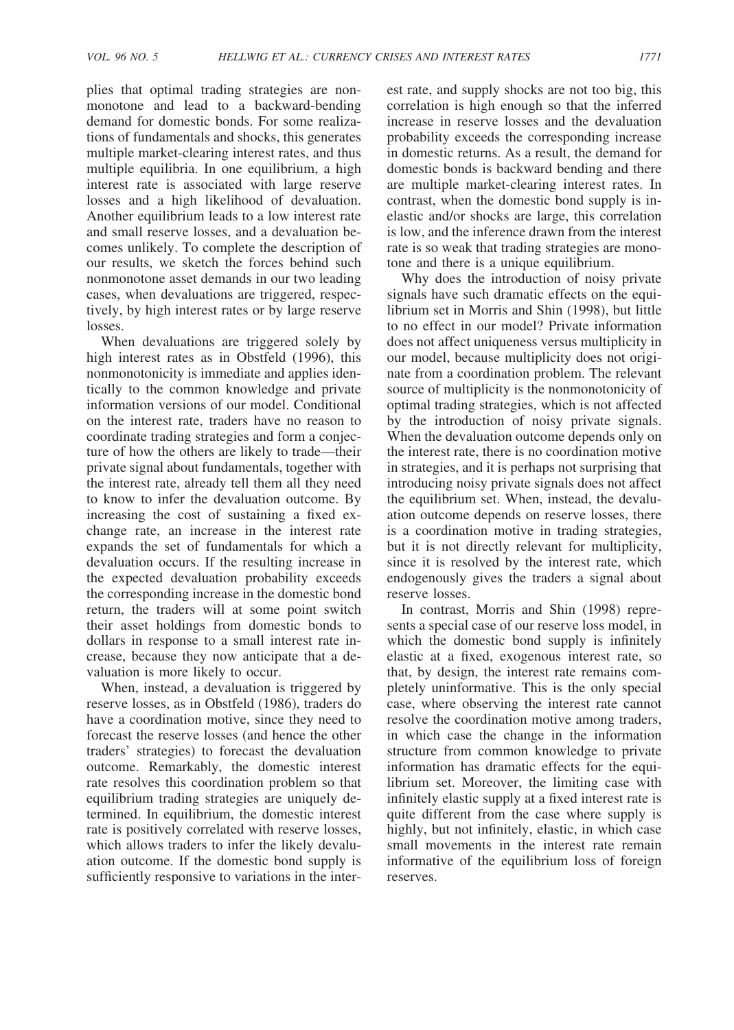plies that optimal trading strategies are nonmonotone and lead to a backward-bending demand for domestic bonds. For some realizations of fundamentals and shocks, this generates multiple market-clearing interest rates, and thus multiple equilibria. In one equilibrium, a high interest rate is associated with large reserve losses and a high likelihood of devaluation. Another equilibrium leads to a low interest rate and small reserve losses, and a devaluation becomes unlikely. To complete the description of our results, we sketch the forces behind such nonmonotone asset demands in our two leading cases, when devaluations are triggered, respectively, by high interest rates or by large reserve losses.

When devaluations are triggered solely by high interest rates as in Obstfeld (1996), this nonmonotonicity is immediate and applies identically to the common knowledge and private information versions of our model. Conditional on the interest rate, traders have no reason to coordinate trading strategies and form a conjecture of how the others are likely to trade—their private signal about fundamentals, together with the interest rate, already tell them all they need to know to infer the devaluation outcome. By increasing the cost of sustaining a fixed exchange rate, an increase in the interest rate expands the set of fundamentals for which a devaluation occurs. If the resulting increase in the expected devaluation probability exceeds the corresponding increase in the domestic bond return, the traders will at some point switch their asset holdings from domestic bonds to dollars in response to a small interest rate increase, because they now anticipate that a devaluation is more likely to occur.

When, instead, a devaluation is triggered by reserve losses, as in Obstfeld (1986), traders do have a coordination motive, since they need to forecast the reserve losses (and hence the other traders' strategies) to forecast the devaluation outcome. Remarkably, the domestic interest rate resolves this coordination problem so that equilibrium trading strategies are uniquely determined. In equilibrium, the domestic interest rate is positively correlated with reserve losses, which allows traders to infer the likely devaluation outcome. If the domestic bond supply is sufficiently responsive to variations in the interest rate, and supply shocks are not too big, this correlation is high enough so that the inferred increase in reserve losses and the devaluation probability exceeds the corresponding increase in domestic returns. As a result, the demand for domestic bonds is backward bending and there are multiple market-clearing interest rates. In contrast, when the domestic bond supply is inelastic and/or shocks are large, this correlation is low, and the inference drawn from the interest rate is so weak that trading strategies are monotone and there is a unique equilibrium.

Why does the introduction of noisy private signals have such dramatic effects on the equilibrium set in Morris and Shin (1998), but little to no effect in our model? Private information does not affect uniqueness versus multiplicity in our model, because multiplicity does not originate from a coordination problem. The relevant source of multiplicity is the nonmonotonicity of optimal trading strategies, which is not affected by the introduction of noisy private signals. When the devaluation outcome depends only on the interest rate, there is no coordination motive in strategies, and it is perhaps not surprising that introducing noisy private signals does not affect the equilibrium set. When, instead, the devaluation outcome depends on reserve losses, there is a coordination motive in trading strategies, but it is not directly relevant for multiplicity, since it is resolved by the interest rate, which endogenously gives the traders a signal about reserve losses.

In contrast, Morris and Shin (1998) represents a special case of our reserve loss model, in which the domestic bond supply is infinitely elastic at a fixed, exogenous interest rate, so that, by design, the interest rate remains completely uninformative. This is the only special case, where observing the interest rate cannot resolve the coordination motive among traders. in which case the change in the information structure from common knowledge to private information has dramatic effects for the equilibrium set. Moreover, the limiting case with infinitely elastic supply at a fixed interest rate is quite different from the case where supply is highly, but not infinitely, elastic, in which case small movements in the interest rate remain informative of the equilibrium loss of foreign reserves.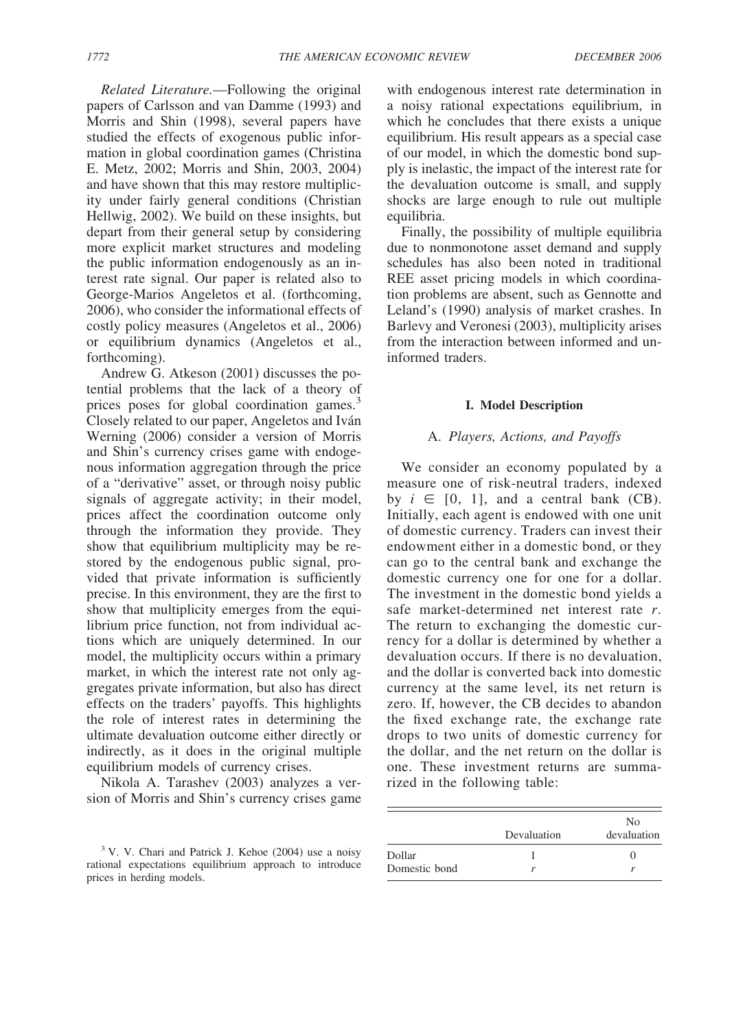Related Literature.-Following the original papers of Carlsson and van Damme (1993) and Morris and Shin (1998), several papers have studied the effects of exogenous public information in global coordination games (Christina E. Metz, 2002; Morris and Shin, 2003, 2004) and have shown that this may restore multiplicity under fairly general conditions (Christian Hellwig, 2002). We build on these insights, but depart from their general setup by considering more explicit market structures and modeling the public information endogenously as an interest rate signal. Our paper is related also to George-Marios Angeletos et al. (forthcoming, 2006), who consider the informational effects of costly policy measures (Angeletos et al., 2006) or equilibrium dynamics (Angeletos et al., forthcoming).

Andrew G. Atkeson (2001) discusses the potential problems that the lack of a theory of prices poses for global coordination games.<sup>3</sup> Closely related to our paper, Angeletos and Iván Werning (2006) consider a version of Morris and Shin's currency crises game with endogenous information aggregation through the price of a "derivative" asset, or through noisy public signals of aggregate activity; in their model, prices affect the coordination outcome only through the information they provide. They show that equilibrium multiplicity may be restored by the endogenous public signal, provided that private information is sufficiently precise. In this environment, they are the first to show that multiplicity emerges from the equilibrium price function, not from individual actions which are uniquely determined. In our model, the multiplicity occurs within a primary market, in which the interest rate not only aggregates private information, but also has direct effects on the traders' payoffs. This highlights the role of interest rates in determining the ultimate devaluation outcome either directly or indirectly, as it does in the original multiple equilibrium models of currency crises.

Nikola A. Tarashev (2003) analyzes a version of Morris and Shin's currency crises game with endogenous interest rate determination in a noisy rational expectations equilibrium, in which he concludes that there exists a unique equilibrium. His result appears as a special case of our model, in which the domestic bond supply is inelastic, the impact of the interest rate for the devaluation outcome is small, and supply shocks are large enough to rule out multiple equilibria.

Finally, the possibility of multiple equilibria due to nonmonotone asset demand and supply schedules has also been noted in traditional REE asset pricing models in which coordination problems are absent, such as Gennotte and Leland's (1990) analysis of market crashes. In Barlevy and Veronesi (2003), multiplicity arises from the interaction between informed and uninformed traders

### I. Model Description

### A. Players, Actions, and Payoffs

We consider an economy populated by a measure one of risk-neutral traders, indexed by  $i \in [0, 1]$ , and a central bank (CB). Initially, each agent is endowed with one unit of domestic currency. Traders can invest their endowment either in a domestic bond, or they can go to the central bank and exchange the domestic currency one for one for a dollar. The investment in the domestic bond yields a safe market-determined net interest rate  $r$ . The return to exchanging the domestic currency for a dollar is determined by whether a devaluation occurs. If there is no devaluation. and the dollar is converted back into domestic currency at the same level, its net return is zero. If, however, the CB decides to abandon the fixed exchange rate, the exchange rate drops to two units of domestic currency for the dollar, and the net return on the dollar is one. These investment returns are summarized in the following table:

|                         | Devaluation | No<br>devaluation |
|-------------------------|-------------|-------------------|
| Dollar<br>Domestic bond |             |                   |

 $3$  V. V. Chari and Patrick J. Kehoe (2004) use a noisy rational expectations equilibrium approach to introduce prices in herding models.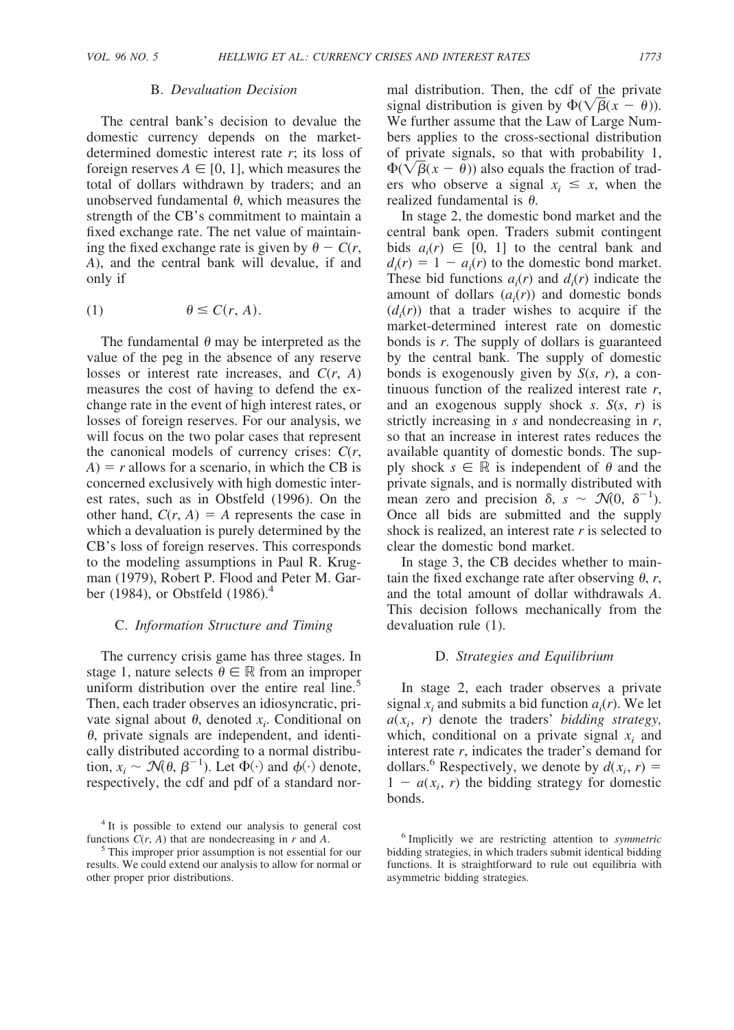# **B.** Devaluation Decision

The central bank's decision to devalue the domestic currency depends on the marketdetermined domestic interest rate  $r$ ; its loss of foreign reserves  $A \in [0, 1]$ , which measures the total of dollars withdrawn by traders; and an unobserved fundamental  $\theta$ , which measures the strength of the CB's commitment to maintain a fixed exchange rate. The net value of maintaining the fixed exchange rate is given by  $\theta - C(r)$ , A), and the central bank will devalue, if and only if

$$
(1) \qquad \theta \le C(r, A).
$$

The fundamental  $\theta$  may be interpreted as the value of the peg in the absence of any reserve losses or interest rate increases, and  $C(r, A)$ measures the cost of having to defend the exchange rate in the event of high interest rates, or losses of foreign reserves. For our analysis, we will focus on the two polar cases that represent the canonical models of currency crises:  $C(r,$  $A$ ) = r allows for a scenario, in which the CB is concerned exclusively with high domestic interest rates, such as in Obstfeld (1996). On the other hand,  $C(r, A) = A$  represents the case in which a devaluation is purely determined by the CB's loss of foreign reserves. This corresponds to the modeling assumptions in Paul R. Krugman (1979), Robert P. Flood and Peter M. Garber (1984), or Obstfeld (1986).<sup>4</sup>

# C. Information Structure and Timing

The currency crisis game has three stages. In stage 1, nature selects  $\theta \in \mathbb{R}$  from an improper uniform distribution over the entire real line.<sup>5</sup> Then, each trader observes an idiosyncratic, private signal about  $\theta$ , denoted  $x_i$ . Conditional on  $\theta$ , private signals are independent, and identically distributed according to a normal distribution,  $x_i \sim \mathcal{N}(\theta, \beta^{-1})$ . Let  $\Phi(\cdot)$  and  $\phi(\cdot)$  denote, respectively, the cdf and pdf of a standard normal distribution. Then, the cdf of the private signal distribution is given by  $\Phi(\sqrt{\beta}(x - \theta)).$ We further assume that the Law of Large Numbers applies to the cross-sectional distribution of private signals, so that with probability 1,  $\Phi(\sqrt{\beta(x-\theta)})$  also equals the fraction of traders who observe a signal  $x_i \leq x$ , when the realized fundamental is  $\theta$ .

In stage 2, the domestic bond market and the central bank open. Traders submit contingent bids  $a_i(r) \in [0, 1]$  to the central bank and  $d_i(r) = 1 - a_i(r)$  to the domestic bond market. These bid functions  $a_i(r)$  and  $d_i(r)$  indicate the amount of dollars  $(a_i(r))$  and domestic bonds  $(d<sub>i</sub>(r))$  that a trader wishes to acquire if the market-determined interest rate on domestic bonds is  $r$ . The supply of dollars is guaranteed by the central bank. The supply of domestic bonds is exogenously given by  $S(s, r)$ , a continuous function of the realized interest rate  $r$ , and an exogenous supply shock  $s$ .  $S(s, r)$  is strictly increasing in  $s$  and nondecreasing in  $r$ , so that an increase in interest rates reduces the available quantity of domestic bonds. The supply shock  $s \in \mathbb{R}$  is independent of  $\theta$  and the private signals, and is normally distributed with mean zero and precision  $\delta$ ,  $s \sim \mathcal{N}(0, \delta^{-1})$ . Once all bids are submitted and the supply shock is realized, an interest rate  $r$  is selected to clear the domestic bond market

In stage 3, the CB decides whether to maintain the fixed exchange rate after observing  $\theta$ , r, and the total amount of dollar withdrawals A. This decision follows mechanically from the devaluation rule (1).

### D. Strategies and Equilibrium

In stage 2, each trader observes a private signal  $x_i$  and submits a bid function  $a_i(r)$ . We let  $a(x_i, r)$  denote the traders' bidding strategy, which, conditional on a private signal  $x_i$  and interest rate  $r$ , indicates the trader's demand for dollars.<sup>6</sup> Respectively, we denote by  $d(x_i, r) =$  $1 - a(x_i, r)$  the bidding strategy for domestic bonds.

<sup>&</sup>lt;sup>4</sup> It is possible to extend our analysis to general cost functions  $C(r, A)$  that are nondecreasing in r and A.

<sup>&</sup>lt;sup>5</sup> This improper prior assumption is not essential for our results. We could extend our analysis to allow for normal or other proper prior distributions.

<sup>&</sup>lt;sup>6</sup> Implicitly we are restricting attention to symmetric bidding strategies, in which traders submit identical bidding functions. It is straightforward to rule out equilibria with asymmetric bidding strategies.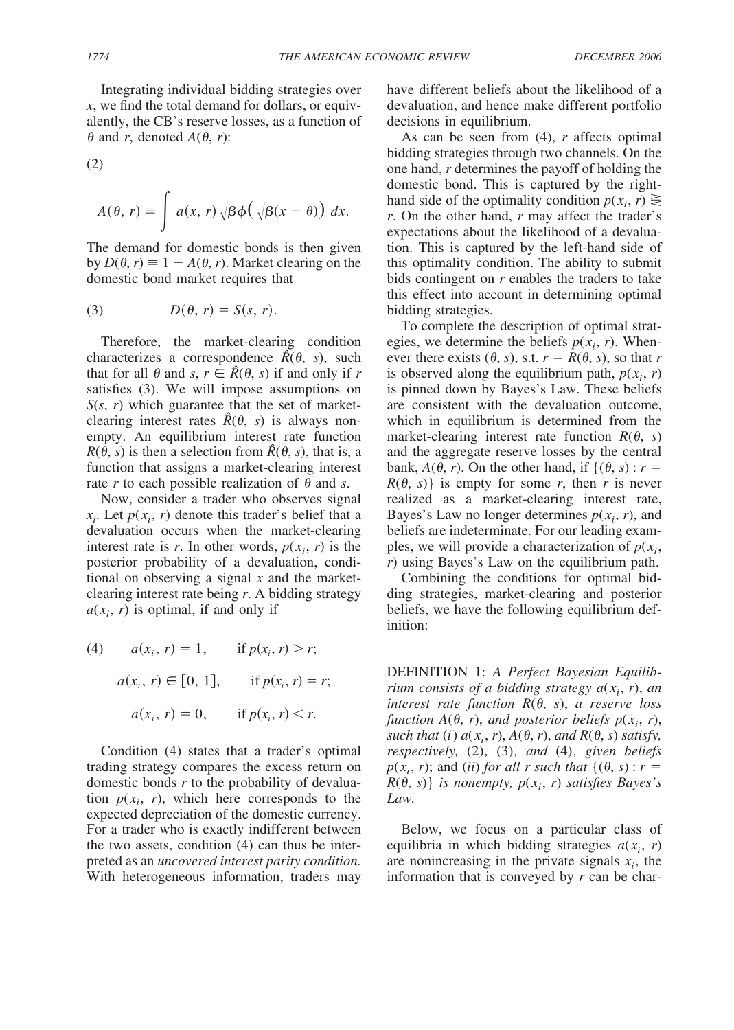Integrating individual bidding strategies over  $x$ , we find the total demand for dollars, or equivalently, the CB's reserve losses, as a function of  $\theta$  and r, denoted  $A(\theta, r)$ :

 $(2)$ 

$$
A(\theta, r) \equiv \int a(x, r) \sqrt{\beta} \phi \big( \sqrt{\beta} (x - \theta) \big) dx.
$$

The demand for domestic bonds is then given by  $D(\theta, r) \equiv 1 - A(\theta, r)$ . Market clearing on the domestic bond market requires that

$$
(3) \tD(\theta, r) = S(s, r).
$$

Therefore, the market-clearing condition characterizes a correspondence  $\widetilde{R}(\theta, s)$ , such that for all  $\theta$  and  $s, r \in \hat{R}(\theta, s)$  if and only if r satisfies (3). We will impose assumptions on  $S(s, r)$  which guarantee that the set of marketclearing interest rates  $\hat{R}(\theta, s)$  is always nonempty. An equilibrium interest rate function  $R(\theta, s)$  is then a selection from  $\hat{R}(\theta, s)$ , that is, a function that assigns a market-clearing interest rate r to each possible realization of  $\theta$  and s.

Now, consider a trader who observes signal  $x_i$ . Let  $p(x_i, r)$  denote this trader's belief that a devaluation occurs when the market-clearing interest rate is r. In other words,  $p(x_i, r)$  is the posterior probability of a devaluation, conditional on observing a signal  $x$  and the marketclearing interest rate being  $r$ . A bidding strategy  $a(x_i, r)$  is optimal, if and only if

(4) 
$$
a(x_i, r) = 1
$$
, if  $p(x_i, r) > r$ ;  
\n $a(x_i, r) \in [0, 1]$ , if  $p(x_i, r) = r$ ;  
\n $a(x_i, r) = 0$ , if  $p(x_i, r) < r$ .

Condition (4) states that a trader's optimal trading strategy compares the excess return on domestic bonds  $r$  to the probability of devaluation  $p(x_i, r)$ , which here corresponds to the expected depreciation of the domestic currency. For a trader who is exactly indifferent between the two assets, condition (4) can thus be interpreted as an uncovered interest parity condition. With heterogeneous information, traders may

have different beliefs about the likelihood of a devaluation, and hence make different portfolio decisions in equilibrium.

As can be seen from  $(4)$ , r affects optimal bidding strategies through two channels. On the one hand,  $r$  determines the payoff of holding the domestic bond. This is captured by the righthand side of the optimality condition  $p(x_i, r) \geq$  $r$ . On the other hand,  $r$  may affect the trader's expectations about the likelihood of a devaluation. This is captured by the left-hand side of this optimality condition. The ability to submit bids contingent on  $r$  enables the traders to take this effect into account in determining optimal bidding strategies.

To complete the description of optimal strategies, we determine the beliefs  $p(x_i, r)$ . Whenever there exists  $(\theta, s)$ , s.t.  $r = R(\theta, s)$ , so that r is observed along the equilibrium path,  $p(x_i, r)$ is pinned down by Bayes's Law. These beliefs are consistent with the devaluation outcome, which in equilibrium is determined from the market-clearing interest rate function  $R(\theta, s)$ and the aggregate reserve losses by the central bank,  $A(\theta, r)$ . On the other hand, if  $\{(\theta, s) : r =$  $R(\theta, s)$  is empty for some r, then r is never realized as a market-clearing interest rate, Bayes's Law no longer determines  $p(x_i, r)$ , and beliefs are indeterminate. For our leading examples, we will provide a characterization of  $p(x_i)$ ,  $r$ ) using Bayes's Law on the equilibrium path.

Combining the conditions for optimal bidding strategies, market-clearing and posterior beliefs, we have the following equilibrium definition:

DEFINITION 1: A Perfect Bayesian Equilibrium consists of a bidding strategy  $a(x_i, r)$ , an interest rate function  $R(\theta, s)$ , a reserve loss function  $A(\theta, r)$ , and posterior beliefs  $p(x_i, r)$ , such that (i)  $a(x_i, r)$ ,  $A(\theta, r)$ , and  $R(\theta, s)$  satisfy, respectively,  $(2)$ ,  $(3)$ , and  $(4)$ , given beliefs  $p(x_i, r)$ ; and (ii) for all r such that  $\{(\theta, s) : r =$  $R(\theta, s)$  is nonempty,  $p(x_i, r)$  satisfies Bayes's Law.

Below, we focus on a particular class of equilibria in which bidding strategies  $a(x_i, r)$ are nonincreasing in the private signals  $x_i$ , the information that is conveyed by  $r$  can be char-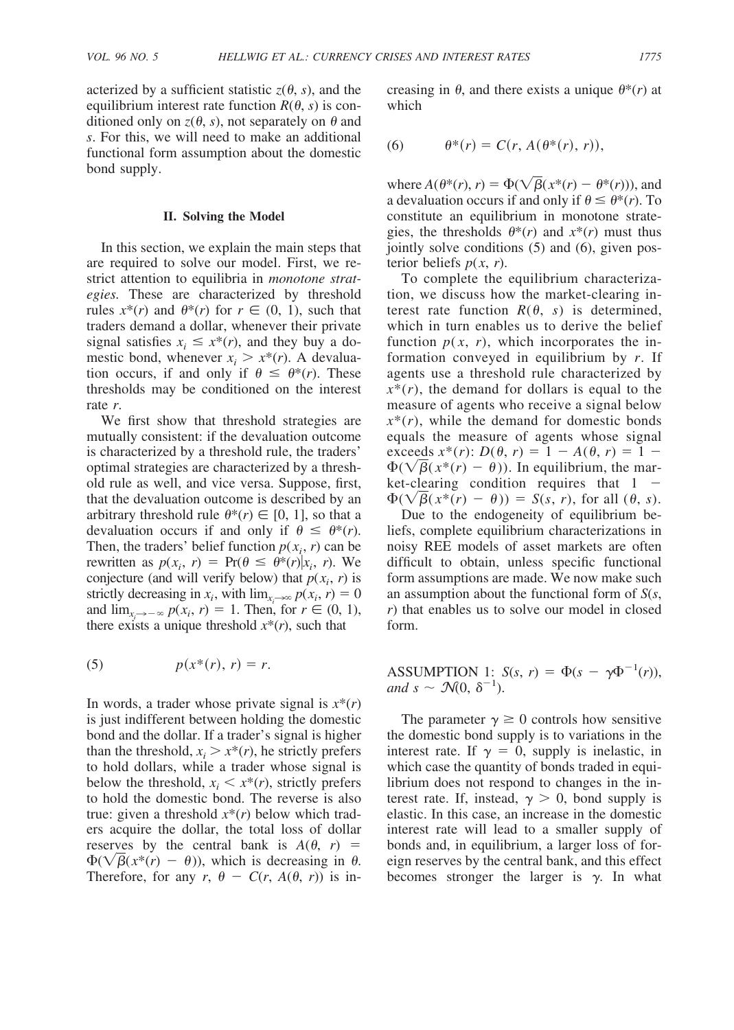acterized by a sufficient statistic  $z(\theta, s)$ , and the equilibrium interest rate function  $R(\theta, s)$  is conditioned only on  $z(\theta, s)$ , not separately on  $\theta$  and s. For this, we will need to make an additional functional form assumption about the domestic bond supply.

#### II. Solving the Model

In this section, we explain the main steps that are required to solve our model. First, we restrict attention to equilibria in *monotone strat*egies. These are characterized by threshold rules  $x^*(r)$  and  $\theta^*(r)$  for  $r \in (0, 1)$ , such that traders demand a dollar, whenever their private signal satisfies  $x_i \leq x^*(r)$ , and they buy a domestic bond, whenever  $x_i > x^*(r)$ . A devaluation occurs, if and only if  $\theta \leq \theta^*(r)$ . These thresholds may be conditioned on the interest rate  $r$ .

We first show that threshold strategies are mutually consistent: if the devaluation outcome is characterized by a threshold rule, the traders' optimal strategies are characterized by a threshold rule as well, and vice versa. Suppose, first, that the devaluation outcome is described by an arbitrary threshold rule  $\theta^*(r) \in [0, 1]$ , so that a devaluation occurs if and only if  $\theta \leq \theta^*(r)$ . Then, the traders' belief function  $p(x_i, r)$  can be rewritten as  $p(x_i, r) = Pr(\theta \leq \theta^*(r)|x_i, r)$ . We conjecture (and will verify below) that  $p(x_i, r)$  is strictly decreasing in  $x_i$ , with  $\lim_{x\to\infty} p(x_i, r) = 0$ and  $\lim_{x \to -\infty} p(x_i, r) = 1$ . Then, for  $r \in (0, 1)$ , there exists a unique threshold  $x^*(r)$ , such that

$$
(5) \qquad \qquad p(x^*(r), r) = r.
$$

In words, a trader whose private signal is  $x^*(r)$ is just indifferent between holding the domestic bond and the dollar. If a trader's signal is higher than the threshold,  $x_i > x^*(r)$ , he strictly prefers to hold dollars, while a trader whose signal is below the threshold,  $x_i \leq x^*(r)$ , strictly prefers to hold the domestic bond. The reverse is also true: given a threshold  $x^*(r)$  below which traders acquire the dollar, the total loss of dollar reserves by the central bank is  $A(\theta, r)$  =  $\Phi(\sqrt{\beta}(x^*(r) - \theta))$ , which is decreasing in  $\theta$ . Therefore, for any r,  $\theta$  – C(r, A( $\theta$ , r)) is increasing in  $\theta$ , and there exists a unique  $\theta^*(r)$  at which

(6) 
$$
\theta^*(r) = C(r, A(\theta^*(r), r)),
$$

where  $A(\theta^*(r), r) = \Phi(\sqrt{\beta}(x^*(r) - \theta^*(r)))$ , and a devaluation occurs if and only if  $\theta \leq \theta^*(r)$ . To constitute an equilibrium in monotone strategies, the thresholds  $\theta^*(r)$  and  $x^*(r)$  must thus jointly solve conditions (5) and (6), given posterior beliefs  $p(x, r)$ .

To complete the equilibrium characterization, we discuss how the market-clearing interest rate function  $R(\theta, s)$  is determined, which in turn enables us to derive the belief function  $p(x, r)$ , which incorporates the information conveyed in equilibrium by  $r$ . If agents use a threshold rule characterized by  $x^*(r)$ , the demand for dollars is equal to the measure of agents who receive a signal below  $x^*(r)$ , while the demand for domestic bonds equals the measure of agents whose signal exceeds  $x^*(r)$ :  $D(\theta, r) = 1 - A(\theta, r) = 1 \Phi(\sqrt{\beta}(x^*(r) - \theta))$ . In equilibrium, the market-clearing condition requires that  $1 \Phi(\sqrt{\beta(x^*(r) - \theta)}) = S(s, r),$  for all  $(\theta, s)$ .

Due to the endogeneity of equilibrium beliefs, complete equilibrium characterizations in noisy REE models of asset markets are often difficult to obtain, unless specific functional form assumptions are made. We now make such an assumption about the functional form of  $S(s)$ ,  $r$ ) that enables us to solve our model in closed form.

ASSUMPTION 1:  $S(s, r) = \Phi(s - \gamma \Phi^{-1}(r)),$ and  $s \sim \mathcal{N}(0, \delta^{-1})$ .

The parameter  $\gamma \geq 0$  controls how sensitive the domestic bond supply is to variations in the interest rate. If  $\gamma = 0$ , supply is inelastic, in which case the quantity of bonds traded in equilibrium does not respond to changes in the interest rate. If, instead,  $\gamma > 0$ , bond supply is elastic. In this case, an increase in the domestic interest rate will lead to a smaller supply of bonds and, in equilibrium, a larger loss of foreign reserves by the central bank, and this effect becomes stronger the larger is  $\gamma$ . In what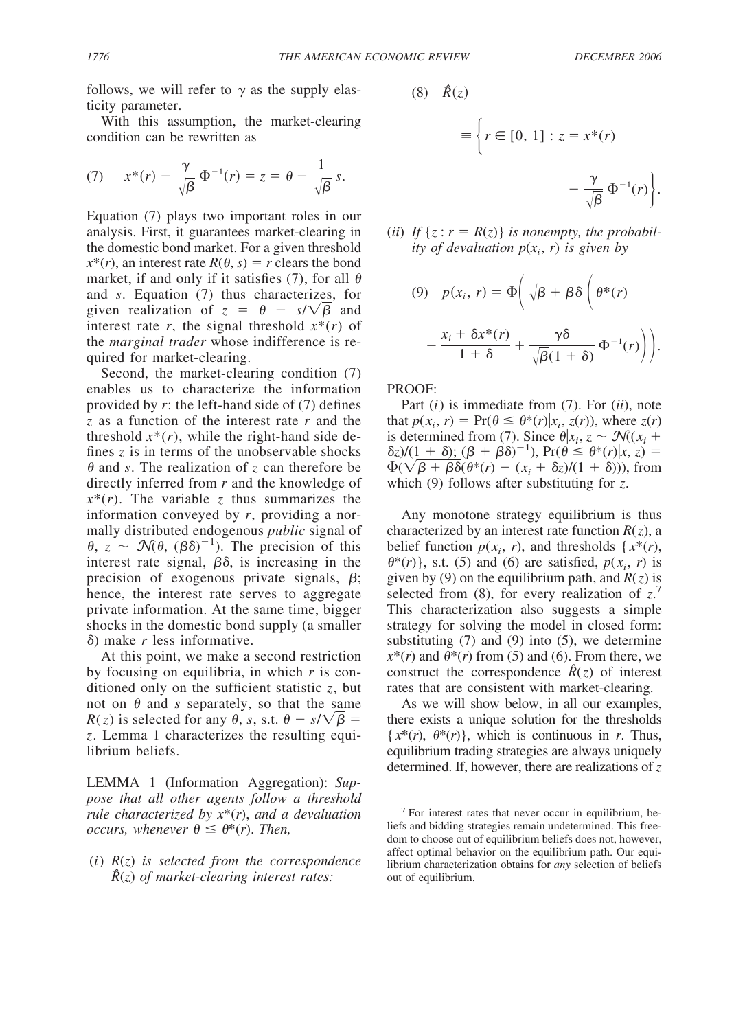follows, we will refer to  $\gamma$  as the supply elasticity parameter.

With this assumption, the market-clearing condition can be rewritten as

$$
(7) \qquad x^*(r) - \frac{\gamma}{\sqrt{\beta}} \Phi^{-1}(r) = z = \theta - \frac{1}{\sqrt{\beta}} s.
$$

Equation (7) plays two important roles in our analysis. First, it guarantees market-clearing in the domestic bond market. For a given threshold  $x^*(r)$ , an interest rate  $R(\theta, s) = r$  clears the bond market, if and only if it satisfies (7), for all  $\theta$ and s. Equation (7) thus characterizes, for given realization of  $z = \theta - s/\sqrt{\beta}$  and interest rate r, the signal threshold  $x^*(r)$  of the *marginal trader* whose indifference is required for market-clearing.

Second, the market-clearing condition (7) enables us to characterize the information provided by  $r$ : the left-hand side of  $(7)$  defines z as a function of the interest rate  $r$  and the threshold  $x^*(r)$ , while the right-hand side defines  $z$  is in terms of the unobservable shocks  $\theta$  and s. The realization of z can therefore be directly inferred from  $r$  and the knowledge of  $x^*(r)$ . The variable z thus summarizes the information conveyed by  $r$ , providing a normally distributed endogenous *public* signal of  $\theta$ ,  $z \sim \mathcal{N}(\theta, (\beta \delta)^{-1})$ . The precision of this interest rate signal,  $\beta\delta$ , is increasing in the precision of exogenous private signals,  $\beta$ ; hence, the interest rate serves to aggregate private information. At the same time, bigger shocks in the domestic bond supply (a smaller  $\delta$ ) make r less informative.

At this point, we make a second restriction by focusing on equilibria, in which  $r$  is conditioned only on the sufficient statistic  $z$ , but not on  $\theta$  and s separately, so that the same  $R(z)$  is selected for any  $\theta$ , s, s.t.  $\theta - s/\sqrt{\beta} =$ z. Lemma 1 characterizes the resulting equilibrium beliefs.

LEMMA 1 (Information Aggregation): Suppose that all other agents follow a threshold rule characterized by  $x^*(r)$ , and a devaluation occurs, whenever  $\theta \leq \theta^*(r)$ . Then,

(i)  $R(z)$  is selected from the correspondence  $\hat{R}(z)$  of market-clearing interest rates:

 $(8)$   $\hat{R}(z)$ 

$$
\equiv \left\{ r \in [0, 1] : z = x^*(r) - \frac{\gamma}{\sqrt{\beta}} \Phi^{-1}(r) \right\}
$$

(ii) If  $\{z : r = R(z)\}\)$  is nonempty, the probability of devaluation  $p(x_i, r)$  is given by

(9) 
$$
p(x_i, r) = \Phi\left(\sqrt{\beta + \beta\delta}\left(\theta^*(r)\right) - \frac{x_i + \delta x^*(r)}{1 + \delta} + \frac{\gamma\delta}{\sqrt{\beta}(1 + \delta)}\Phi^{-1}(r)\right)\right).
$$

PROOF:

Part  $(i)$  is immediate from  $(7)$ . For  $(ii)$ , note that  $p(x_i, r) = Pr(\theta \leq \theta^*(r)|x_i, z(r))$ , where  $z(r)$ is determined from (7). Since  $\theta | x_i, z \sim \mathcal{N}((x_i +$  $\delta z/(1 + \delta)$ ;  $(\beta + \beta \delta)^{-1}$ ), Pr $(\theta \leq \theta^*(r)|x, z)$  =  $\Phi(\sqrt{\beta + \beta \delta(\theta^*(r) - (x_i + \delta z)/(1 + \delta)}))$ , from which  $(9)$  follows after substituting for z.

Any monotone strategy equilibrium is thus characterized by an interest rate function  $R(z)$ , a belief function  $p(x_i, r)$ , and thresholds  $\{x^*(r),$  $\theta^*(r)$ , s.t. (5) and (6) are satisfied,  $p(x_i, r)$  is given by (9) on the equilibrium path, and  $R(z)$  is selected from (8), for every realization of  $z^7$ . This characterization also suggests a simple strategy for solving the model in closed form: substituting  $(7)$  and  $(9)$  into  $(5)$ , we determine  $x^*(r)$  and  $\theta^*(r)$  from (5) and (6). From there, we construct the correspondence  $\hat{R}(z)$  of interest rates that are consistent with market-clearing.

As we will show below, in all our examples, there exists a unique solution for the thresholds  $\{x^*(r), \theta^*(r)\}\$ , which is continuous in r. Thus, equilibrium trading strategies are always uniquely determined. If, however, there are realizations of  $z$ 

<sup>&</sup>lt;sup>7</sup> For interest rates that never occur in equilibrium, beliefs and bidding strategies remain undetermined. This freedom to choose out of equilibrium beliefs does not, however, affect optimal behavior on the equilibrium path. Our equilibrium characterization obtains for any selection of beliefs out of equilibrium.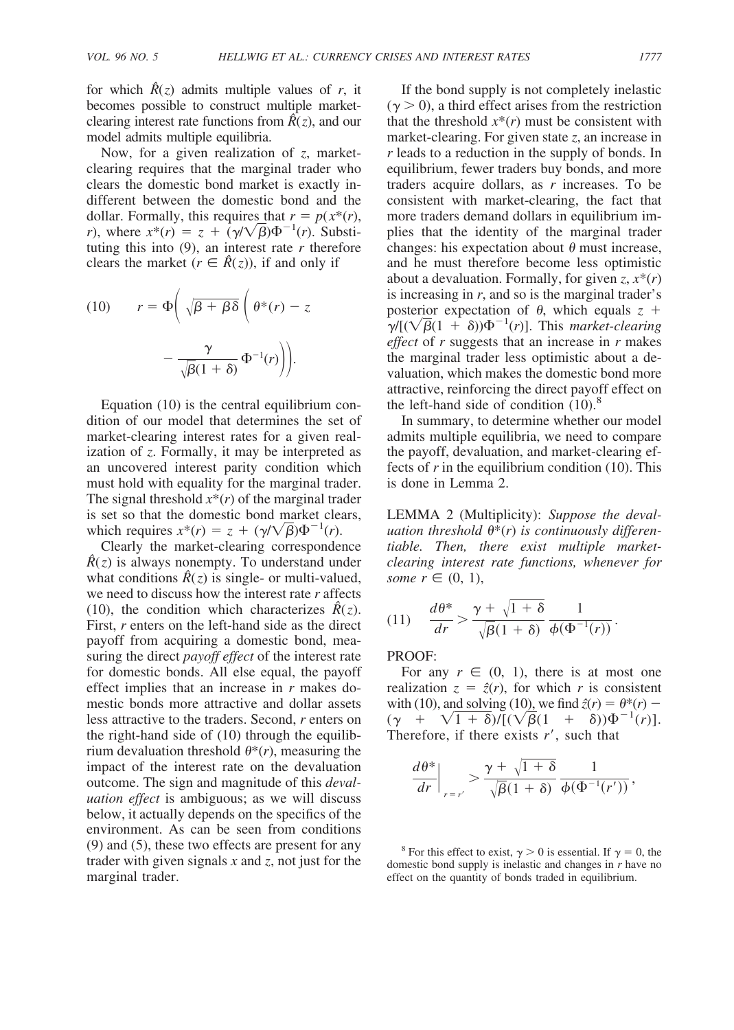for which  $\hat{R}(z)$  admits multiple values of r, it becomes possible to construct multiple marketclearing interest rate functions from  $\hat{R}(z)$ , and our model admits multiple equilibria.

Now, for a given realization of  $z$ , marketclearing requires that the marginal trader who clears the domestic bond market is exactly indifferent between the domestic bond and the dollar. Formally, this requires that  $r = p(x^*(r))$ , r), where  $x^*(r) = z + (\gamma/\sqrt{\beta})\Phi^{-1}(r)$ . Substituting this into  $(9)$ , an interest rate r therefore clears the market  $(r \in \hat{R}(z))$ , if and only if

(10) 
$$
r = \Phi\left(\sqrt{\beta + \beta\delta}\left(\theta^*(r) - z\right) - \frac{\gamma}{\sqrt{\beta}(1+\delta)}\Phi^{-1}(r)\right).
$$

Equation  $(10)$  is the central equilibrium condition of our model that determines the set of market-clearing interest rates for a given realization of z. Formally, it may be interpreted as an uncovered interest parity condition which must hold with equality for the marginal trader. The signal threshold  $x^*(r)$  of the marginal trader is set so that the domestic bond market clears. which requires  $x^*(r) = z + (\gamma/\sqrt{\beta})\Phi^{-1}(r)$ .

Clearly the market-clearing correspondence  $\hat{R}(z)$  is always nonempty. To understand under what conditions  $\hat{R}(z)$  is single- or multi-valued. we need to discuss how the interest rate  $r$  affects (10), the condition which characterizes  $\hat{R}(z)$ . First,  $r$  enters on the left-hand side as the direct payoff from acquiring a domestic bond, measuring the direct *payoff effect* of the interest rate for domestic bonds. All else equal, the payoff effect implies that an increase in  $r$  makes domestic bonds more attractive and dollar assets less attractive to the traders. Second, r enters on the right-hand side of (10) through the equilibrium devaluation threshold  $\theta^*(r)$ , measuring the impact of the interest rate on the devaluation outcome. The sign and magnitude of this *deval*uation effect is ambiguous; as we will discuss below, it actually depends on the specifics of the environment. As can be seen from conditions  $(9)$  and  $(5)$ , these two effects are present for any trader with given signals  $x$  and  $z$ , not just for the marginal trader.

If the bond supply is not completely inelastic  $(\gamma > 0)$ , a third effect arises from the restriction that the threshold  $x^*(r)$  must be consistent with market-clearing. For given state  $z$ , an increase in  $r$  leads to a reduction in the supply of bonds. In equilibrium, fewer traders buy bonds, and more traders acquire dollars, as  $r$  increases. To be consistent with market-clearing, the fact that more traders demand dollars in equilibrium implies that the identity of the marginal trader changes: his expectation about  $\theta$  must increase, and he must therefore become less optimistic about a devaluation. Formally, for given  $z, x^*(r)$ is increasing in  $r$ , and so is the marginal trader's posterior expectation of  $\theta$ , which equals z +  $\sqrt{\gamma/(\sqrt{\beta}(1+\delta))\Phi^{-1}(r)}$ . This market-clearing *effect* of  $r$  suggests that an increase in  $r$  makes the marginal trader less optimistic about a devaluation, which makes the domestic bond more attractive, reinforcing the direct payoff effect on the left-hand side of condition  $(10)^8$ 

In summary, to determine whether our model admits multiple equilibria, we need to compare the payoff, devaluation, and market-clearing effects of  $r$  in the equilibrium condition (10). This is done in Lemma 2.

LEMMA 2 (Multiplicity): Suppose the devaluation threshold  $\theta^*(r)$  is continuously differentiable. Then, there exist multiple marketclearing interest rate functions, whenever for some  $r \in (0, 1)$ .

$$
(11) \quad \frac{d\theta^*}{dr} > \frac{\gamma + \sqrt{1+\delta}}{\sqrt{\beta}(1+\delta)} \frac{1}{\phi(\Phi^{-1}(r))}.
$$

PROOF:

For any  $r \in (0, 1)$ , there is at most one realization  $z = \hat{z}(r)$ , for which r is consistent with (10), and solving (10), we find  $\hat{z}(r) = \theta^*(r)$  –  $(\gamma + \sqrt{1+\delta})/[(\sqrt{\beta}(1 + \delta))\Phi^{-1}(r)].$ Therefore, if there exists  $r'$ , such that

$$
\left. \frac{d\theta^*}{dr} \right|_{r=r'} > \frac{\gamma + \sqrt{1+\delta}}{\sqrt{\beta}(1+\delta)} \frac{1}{\phi(\Phi^{-1}(r'))}
$$

<sup>8</sup> For this effect to exist,  $\gamma > 0$  is essential. If  $\gamma = 0$ , the domestic bond supply is inelastic and changes in  $r$  have no effect on the quantity of bonds traded in equilibrium.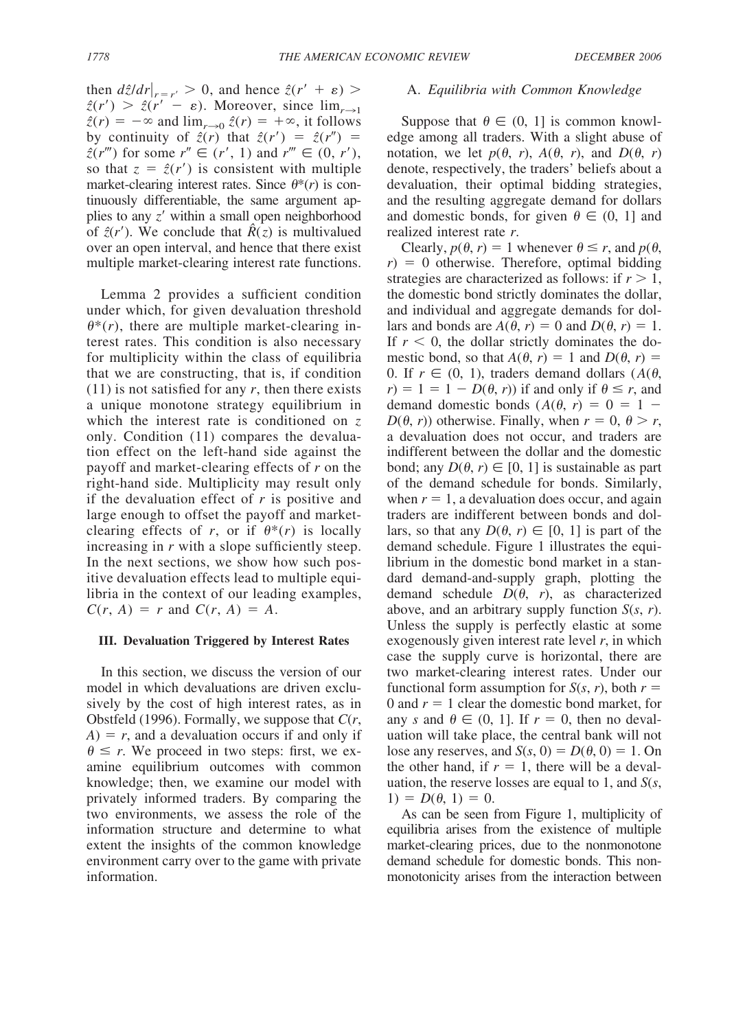then  $d\hat{z}/dr|_{r=r'} > 0$ , and hence  $\hat{z}(r' + \varepsilon) >$  $\hat{z}(r') > \hat{z}(r' - \varepsilon)$ . Moreover, since  $\lim_{r \to 1}$  $\hat{z}(r) = -\infty$  and  $\lim_{r \to 0} \hat{z}(r) = +\infty$ , it follows by continuity of  $\hat{z}(r)$  that  $\hat{z}(r') = \hat{z}(r'') =$  $\hat{z}(r^{\prime\prime\prime})$  for some  $r^{\prime\prime} \in (r^{\prime}, 1)$  and  $r^{\prime\prime\prime} \in (0, r^{\prime}),$ so that  $z = \hat{z}(r')$  is consistent with multiple market-clearing interest rates. Since  $\theta^*(r)$  is continuously differentiable, the same argument applies to any  $z'$  within a small open neighborhood of  $\hat{z}(r')$ . We conclude that  $\hat{R}(z)$  is multivalued over an open interval, and hence that there exist multiple market-clearing interest rate functions.

Lemma 2 provides a sufficient condition under which, for given devaluation threshold  $\theta^*(r)$ , there are multiple market-clearing interest rates. This condition is also necessary for multiplicity within the class of equilibria that we are constructing, that is, if condition  $(11)$  is not satisfied for any r, then there exists a unique monotone strategy equilibrium in which the interest rate is conditioned on z only. Condition (11) compares the devaluation effect on the left-hand side against the payoff and market-clearing effects of  $r$  on the right-hand side. Multiplicity may result only if the devaluation effect of  $r$  is positive and large enough to offset the payoff and marketclearing effects of r, or if  $\theta^*(r)$  is locally increasing in  $r$  with a slope sufficiently steep. In the next sections, we show how such positive devaluation effects lead to multiple equilibria in the context of our leading examples,  $C(r, A) = r$  and  $C(r, A) = A$ .

### **III.** Devaluation Triggered by Interest Rates

In this section, we discuss the version of our model in which devaluations are driven exclusively by the cost of high interest rates, as in Obstfeld (1996). Formally, we suppose that  $C(r,$  $A$ ) = r, and a devaluation occurs if and only if  $\theta \le r$ . We proceed in two steps: first, we examine equilibrium outcomes with common knowledge; then, we examine our model with privately informed traders. By comparing the two environments, we assess the role of the information structure and determine to what extent the insights of the common knowledge environment carry over to the game with private information.

# A. Equilibria with Common Knowledge

Suppose that  $\theta \in (0, 1]$  is common knowledge among all traders. With a slight abuse of notation, we let  $p(\theta, r)$ ,  $A(\theta, r)$ , and  $D(\theta, r)$ denote, respectively, the traders' beliefs about a devaluation, their optimal bidding strategies, and the resulting aggregate demand for dollars and domestic bonds, for given  $\theta \in (0, 1]$  and realized interest rate  $r$ .

Clearly,  $p(\theta, r) = 1$  whenever  $\theta \le r$ , and  $p(\theta,$  $r = 0$  otherwise. Therefore, optimal bidding strategies are characterized as follows: if  $r > 1$ , the domestic bond strictly dominates the dollar, and individual and aggregate demands for dollars and bonds are  $A(\theta, r) = 0$  and  $D(\theta, r) = 1$ . If  $r < 0$ , the dollar strictly dominates the domestic bond, so that  $A(\theta, r) = 1$  and  $D(\theta, r) =$ 0. If  $r \in (0, 1)$ , traders demand dollars  $(A(\theta,$  $r = 1 = 1 - D(\theta, r)$  if and only if  $\theta \le r$ , and demand domestic bonds  $(A(\theta, r) = 0 = 1$  –  $D(\theta, r)$  otherwise. Finally, when  $r = 0$ ,  $\theta > r$ , a devaluation does not occur, and traders are indifferent between the dollar and the domestic bond; any  $D(\theta, r) \in [0, 1]$  is sustainable as part of the demand schedule for bonds. Similarly, when  $r = 1$ , a devaluation does occur, and again traders are indifferent between bonds and dollars, so that any  $D(\theta, r) \in [0, 1]$  is part of the demand schedule. Figure 1 illustrates the equilibrium in the domestic bond market in a standard demand-and-supply graph, plotting the demand schedule  $\overrightarrow{D(\theta, r)}$ , as characterized above, and an arbitrary supply function  $S(s, r)$ . Unless the supply is perfectly elastic at some exogenously given interest rate level  $r$ , in which case the supply curve is horizontal, there are two market-clearing interest rates. Under our functional form assumption for  $S(s, r)$ , both  $r =$ 0 and  $r = 1$  clear the domestic bond market, for any s and  $\theta \in (0, 1]$ . If  $r = 0$ , then no devaluation will take place, the central bank will not lose any reserves, and  $S(s, 0) = D(\theta, 0) = 1$ . On the other hand, if  $r = 1$ , there will be a devaluation, the reserve losses are equal to 1, and  $S(s,$ 1) =  $D(\theta, 1) = 0$ .

As can be seen from Figure 1, multiplicity of equilibria arises from the existence of multiple market-clearing prices, due to the nonmonotone demand schedule for domestic bonds. This nonmonotonicity arises from the interaction between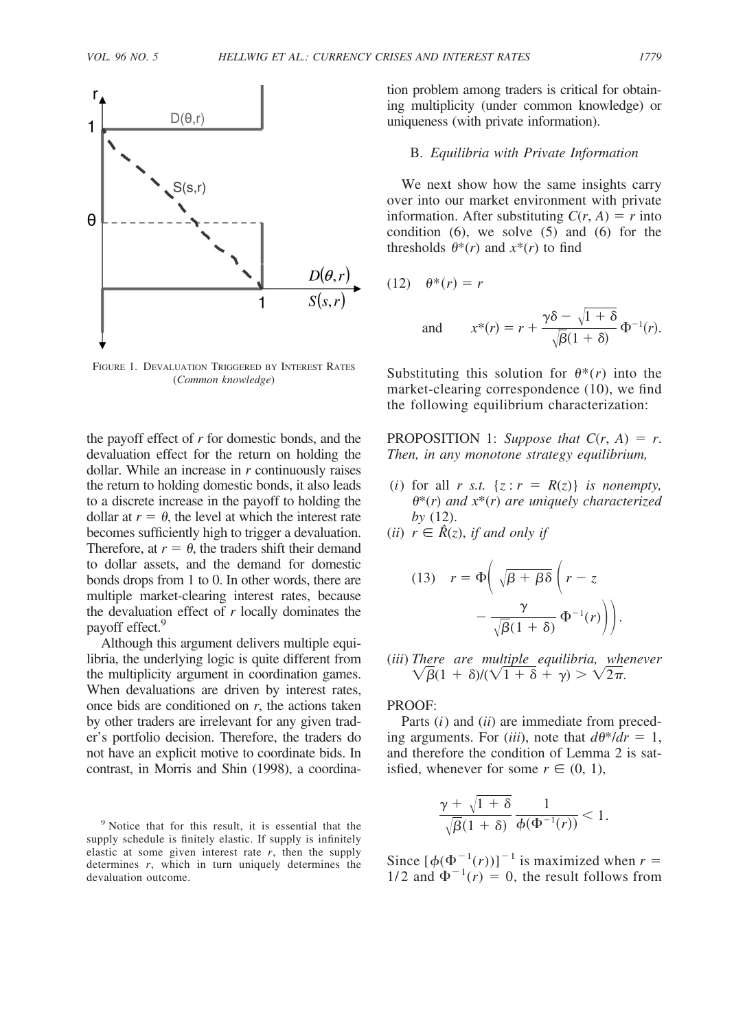

FIGURE 1. DEVALUATION TRIGGERED BY INTEREST RATES (Common knowledge)

the payoff effect of  $r$  for domestic bonds, and the devaluation effect for the return on holding the dollar. While an increase in  $r$  continuously raises the return to holding domestic bonds, it also leads to a discrete increase in the payoff to holding the dollar at  $r = \theta$ , the level at which the interest rate becomes sufficiently high to trigger a devaluation. Therefore, at  $r = \theta$ , the traders shift their demand to dollar assets, and the demand for domestic bonds drops from 1 to 0. In other words, there are multiple market-clearing interest rates, because the devaluation effect of  $r$  locally dominates the pavoff effect.<sup>9</sup>

Although this argument delivers multiple equilibria, the underlying logic is quite different from the multiplicity argument in coordination games. When devaluations are driven by interest rates, once bids are conditioned on  $r$ , the actions taken by other traders are irrelevant for any given trader's portfolio decision. Therefore, the traders do not have an explicit motive to coordinate bids. In contrast, in Morris and Shin (1998), a coordination problem among traders is critical for obtaining multiplicity (under common knowledge) or uniqueness (with private information).

# B. Equilibria with Private Information

We next show how the same insights carry over into our market environment with private information. After substituting  $C(r, A) = r$  into condition  $(6)$ , we solve  $(5)$  and  $(6)$  for the thresholds  $\theta^*(r)$  and  $x^*(r)$  to find

$$
(12) \quad \theta^*(r) = r
$$

and 
$$
x^*(r) = r + \frac{\gamma \delta - \sqrt{1+\delta}}{\sqrt{\beta}(1+\delta)} \Phi^{-1}(r).
$$

Substituting this solution for  $\theta^*(r)$  into the market-clearing correspondence (10), we find the following equilibrium characterization:

**PROPOSITION** 1: Suppose that  $C(r, A) = r$ . Then, in any monotone strategy equilibrium,

- (*i*) for all *r s.t.* { $z : r = R(z)$ } *is nonempty,*  $\theta^*(r)$  and  $x^*(r)$  are uniquely characterized by  $(12)$ .
- (*ii*)  $r \in \hat{R}(z)$ , *if and only if*

(13) 
$$
r = \Phi\left(\sqrt{\beta + \beta\delta}\left(r - z\right) - \frac{\gamma}{\sqrt{\beta}(1 + \delta)}\Phi^{-1}(r)\right)
$$

(iii) There are multiple equilibria, whenever  $\sqrt{\beta}(1+\delta)/(\sqrt{1+\delta}+\gamma) > \sqrt{2\pi}$ .

#### PROOF·

Parts  $(i)$  and  $(ii)$  are immediate from preceding arguments. For *(iii)*, note that  $d\theta^* / dr = 1$ , and therefore the condition of Lemma 2 is satisfied, whenever for some  $r \in (0, 1)$ ,

$$
\frac{\gamma + \sqrt{1+\delta}}{\sqrt{\beta}(1+\delta)} \frac{1}{\phi(\Phi^{-1}(r))} < 1.
$$

Since  $[\phi(\Phi^{-1}(r))]^{-1}$  is maximized when  $r =$ 1/2 and  $\Phi^{-1}(r) = 0$ , the result follows from

<sup>&</sup>lt;sup>9</sup> Notice that for this result, it is essential that the supply schedule is finitely elastic. If supply is infinitely elastic at some given interest rate  $r$ , then the supply determines  $r$ , which in turn uniquely determines the devaluation outcome.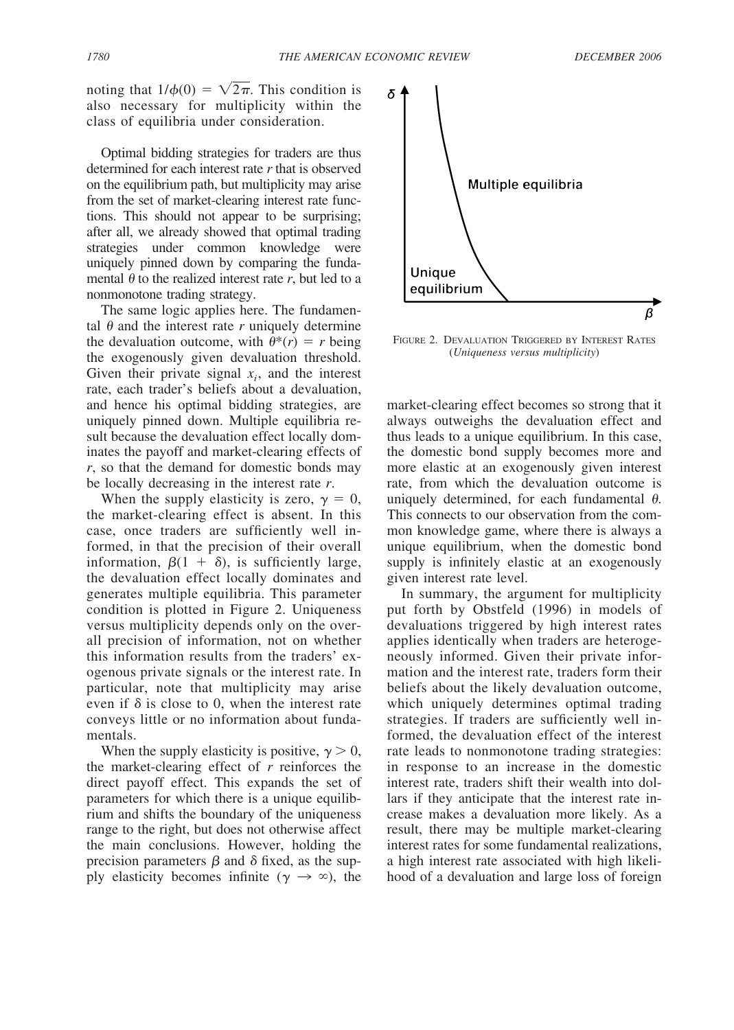noting that  $1/\phi(0) = \sqrt{2\pi}$ . This condition is also necessary for multiplicity within the class of equilibria under consideration.

Optimal bidding strategies for traders are thus determined for each interest rate  $r$  that is observed on the equilibrium path, but multiplicity may arise from the set of market-clearing interest rate functions. This should not appear to be surprising; after all, we already showed that optimal trading strategies under common knowledge were uniquely pinned down by comparing the fundamental  $\theta$  to the realized interest rate r, but led to a nonmonotone trading strategy.

The same logic applies here. The fundamental  $\theta$  and the interest rate r uniquely determine the devaluation outcome, with  $\theta^*(r) = r$  being the exogenously given devaluation threshold. Given their private signal  $x_i$ , and the interest rate, each trader's beliefs about a devaluation, and hence his optimal bidding strategies, are uniquely pinned down. Multiple equilibria result because the devaluation effect locally dominates the payoff and market-clearing effects of  $r$ , so that the demand for domestic bonds may be locally decreasing in the interest rate  $r$ .

When the supply elasticity is zero,  $\gamma = 0$ , the market-clearing effect is absent. In this case, once traders are sufficiently well informed, in that the precision of their overall information,  $\beta(1 + \delta)$ , is sufficiently large, the devaluation effect locally dominates and generates multiple equilibria. This parameter condition is plotted in Figure 2. Uniqueness versus multiplicity depends only on the overall precision of information, not on whether this information results from the traders' exogenous private signals or the interest rate. In particular, note that multiplicity may arise even if  $\delta$  is close to 0, when the interest rate convevs little or no information about fundamentals.

When the supply elasticity is positive,  $\gamma > 0$ , the market-clearing effect of  $r$  reinforces the direct payoff effect. This expands the set of parameters for which there is a unique equilibrium and shifts the boundary of the uniqueness range to the right, but does not otherwise affect the main conclusions. However, holding the precision parameters  $\beta$  and  $\delta$  fixed, as the supply elasticity becomes infinite ( $\gamma \rightarrow \infty$ ), the



FIGURE 2. DEVALUATION TRIGGERED BY INTEREST RATES (Uniqueness versus multiplicity)

market-clearing effect becomes so strong that it always outweighs the devaluation effect and thus leads to a unique equilibrium. In this case, the domestic bond supply becomes more and more elastic at an exogenously given interest rate, from which the devaluation outcome is uniquely determined, for each fundamental  $\theta$ . This connects to our observation from the common knowledge game, where there is always a unique equilibrium, when the domestic bond supply is infinitely elastic at an exogenously given interest rate level.

In summary, the argument for multiplicity put forth by Obstfeld (1996) in models of devaluations triggered by high interest rates applies identically when traders are heterogeneously informed. Given their private information and the interest rate, traders form their beliefs about the likely devaluation outcome, which uniquely determines optimal trading strategies. If traders are sufficiently well informed, the devaluation effect of the interest rate leads to nonmonotone trading strategies: in response to an increase in the domestic interest rate, traders shift their wealth into dollars if they anticipate that the interest rate increase makes a devaluation more likely. As a result, there may be multiple market-clearing interest rates for some fundamental realizations, a high interest rate associated with high likelihood of a devaluation and large loss of foreign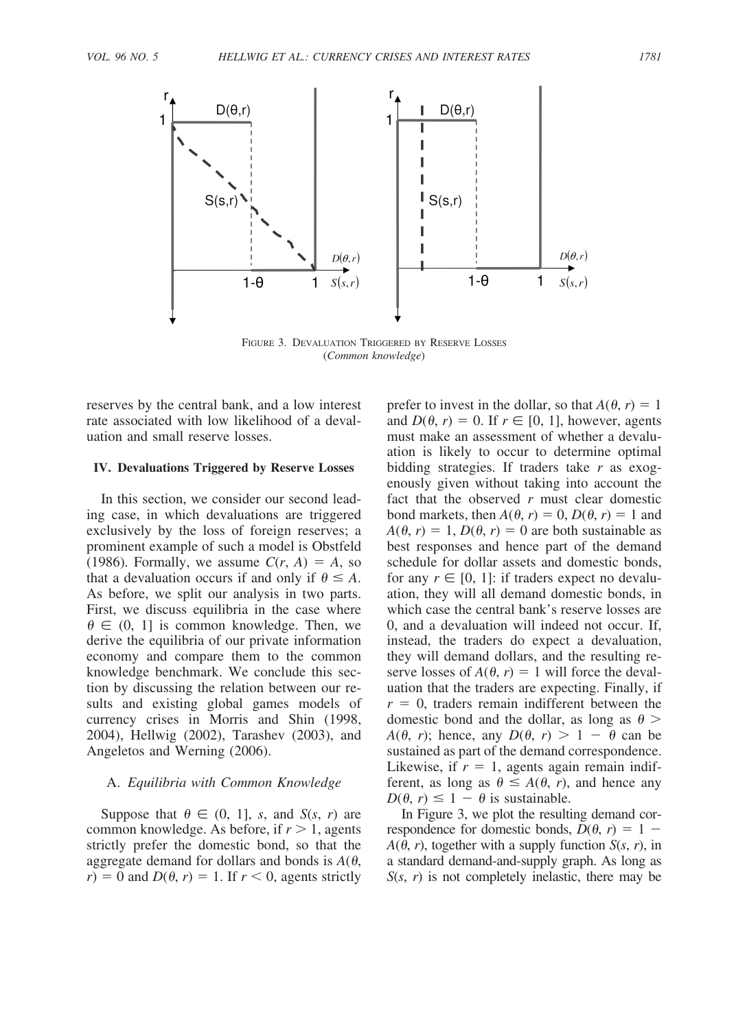

FIGURE 3. DEVALUATION TRIGGERED BY RESERVE LOSSES (Common knowledge)

reserves by the central bank, and a low interest rate associated with low likelihood of a devaluation and small reserve losses.

#### IV. Devaluations Triggered by Reserve Losses

In this section, we consider our second leading case, in which devaluations are triggered exclusively by the loss of foreign reserves; a prominent example of such a model is Obstfeld (1986). Formally, we assume  $C(r, A) = A$ , so that a devaluation occurs if and only if  $\theta \leq A$ . As before, we split our analysis in two parts. First, we discuss equilibria in the case where  $\theta \in (0, 1]$  is common knowledge. Then, we derive the equilibria of our private information economy and compare them to the common knowledge benchmark. We conclude this section by discussing the relation between our results and existing global games models of currency crises in Morris and Shin (1998, 2004), Hellwig (2002), Tarashev (2003), and Angeletos and Werning (2006).

#### A. Equilibria with Common Knowledge

Suppose that  $\theta \in (0, 1]$ , s, and  $S(s, r)$  are common knowledge. As before, if  $r > 1$ , agents strictly prefer the domestic bond, so that the aggregate demand for dollars and bonds is  $A(\theta)$ ,  $r$ ) = 0 and  $D(\theta, r)$  = 1. If  $r < 0$ , agents strictly

prefer to invest in the dollar, so that  $A(\theta, r) = 1$ and  $D(\theta, r) = 0$ . If  $r \in [0, 1]$ , however, agents must make an assessment of whether a devaluation is likely to occur to determine optimal bidding strategies. If traders take  $r$  as exogenously given without taking into account the fact that the observed  $r$  must clear domestic bond markets, then  $A(\theta, r) = 0$ ,  $D(\theta, r) = 1$  and  $A(\theta, r) = 1, D(\theta, r) = 0$  are both sustainable as best responses and hence part of the demand schedule for dollar assets and domestic bonds. for any  $r \in [0, 1]$ : if traders expect no devaluation, they will all demand domestic bonds, in which case the central bank's reserve losses are 0, and a devaluation will indeed not occur. If, instead, the traders do expect a devaluation, they will demand dollars, and the resulting reserve losses of  $A(\theta, r) = 1$  will force the devaluation that the traders are expecting. Finally, if  $r = 0$ , traders remain indifferent between the domestic bond and the dollar, as long as  $\theta$  >  $A(\theta, r)$ ; hence, any  $D(\theta, r) > 1 - \theta$  can be sustained as part of the demand correspondence. Likewise, if  $r = 1$ , agents again remain indifferent, as long as  $\theta \leq A(\theta, r)$ , and hence any  $D(\theta, r) \leq 1 - \theta$  is sustainable.

In Figure 3, we plot the resulting demand correspondence for domestic bonds,  $D(\theta, r) = 1$  –  $A(\hat{\theta}, r)$ , together with a supply function  $S(s, r)$ , in a standard demand-and-supply graph. As long as  $S(s, r)$  is not completely inelastic, there may be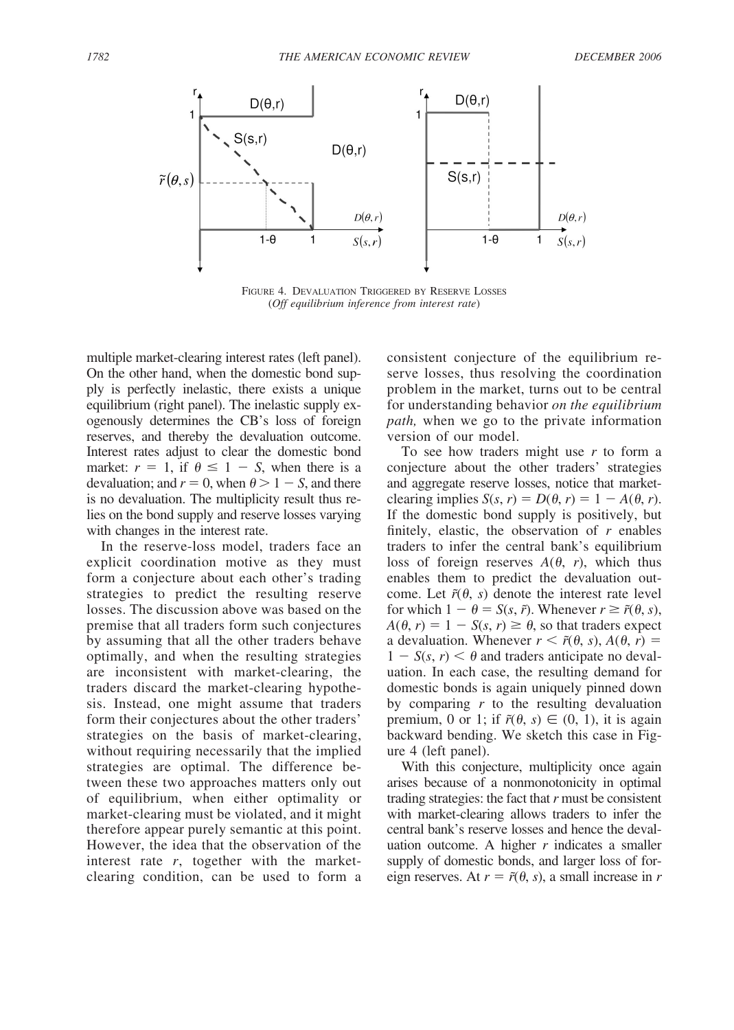

FIGURE 4. DEVALUATION TRIGGERED BY RESERVE LOSSES (Off equilibrium inference from interest rate)

multiple market-clearing interest rates (left panel). On the other hand, when the domestic bond supply is perfectly inelastic, there exists a unique equilibrium (right panel). The inelastic supply exogenously determines the CB's loss of foreign reserves, and thereby the devaluation outcome. Interest rates adjust to clear the domestic bond market:  $r = 1$ , if  $\theta \le 1 - S$ , when there is a devaluation; and  $r = 0$ , when  $\theta > 1 - S$ , and there is no devaluation. The multiplicity result thus relies on the bond supply and reserve losses varying with changes in the interest rate.

In the reserve-loss model, traders face an explicit coordination motive as they must form a conjecture about each other's trading strategies to predict the resulting reserve losses. The discussion above was based on the premise that all traders form such conjectures by assuming that all the other traders behave optimally, and when the resulting strategies are inconsistent with market-clearing, the traders discard the market-clearing hypothesis. Instead, one might assume that traders form their conjectures about the other traders' strategies on the basis of market-clearing, without requiring necessarily that the implied strategies are optimal. The difference between these two approaches matters only out of equilibrium, when either optimality or market-clearing must be violated, and it might therefore appear purely semantic at this point. However, the idea that the observation of the interest rate  $r$ , together with the marketclearing condition, can be used to form a consistent conjecture of the equilibrium reserve losses, thus resolving the coordination problem in the market, turns out to be central for understanding behavior on the equilibrium path, when we go to the private information version of our model.

To see how traders might use  $r$  to form a conjecture about the other traders' strategies and aggregate reserve losses, notice that marketclearing implies  $S(s, r) = D(\theta, r) = 1 - A(\theta, r)$ . If the domestic bond supply is positively, but finitely, elastic, the observation of  $r$  enables traders to infer the central bank's equilibrium loss of foreign reserves  $A(\theta, r)$ , which thus enables them to predict the devaluation outcome. Let  $\tilde{r}(\theta, s)$  denote the interest rate level for which  $1 - \theta = S(s, \tilde{r})$ . Whenever  $r \geq \tilde{r}(\theta, s)$ ,  $A(\theta, r) = 1 - S(s, r) \ge \theta$ , so that traders expect a devaluation. Whenever  $r < \tilde{r}(\theta, s)$ ,  $A(\theta, r)$  =  $1 - S(s, r) < \theta$  and traders anticipate no devaluation. In each case, the resulting demand for domestic bonds is again uniquely pinned down by comparing  $r$  to the resulting devaluation premium, 0 or 1; if  $\tilde{r}(\theta, s) \in (0, 1)$ , it is again backward bending. We sketch this case in Figure 4 (left panel).

With this conjecture, multiplicity once again arises because of a nonmonotonicity in optimal trading strategies: the fact that  $r$  must be consistent with market-clearing allows traders to infer the central bank's reserve losses and hence the devaluation outcome. A higher  $r$  indicates a smaller supply of domestic bonds, and larger loss of foreign reserves. At  $r = \tilde{r}(\theta, s)$ , a small increase in r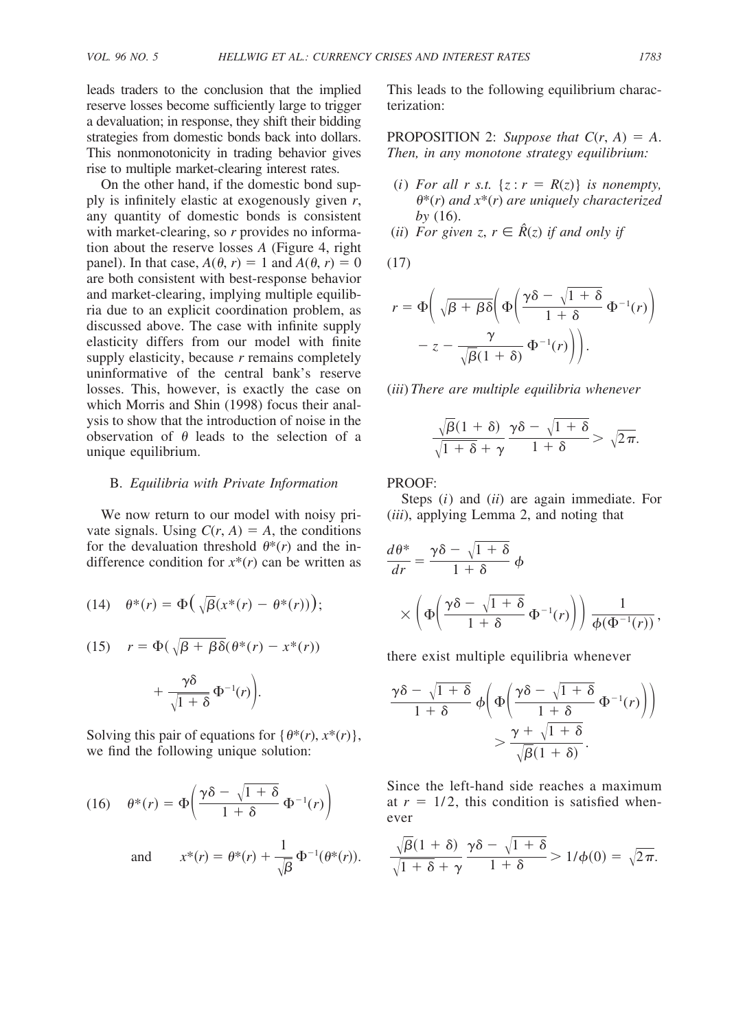leads traders to the conclusion that the implied reserve losses become sufficiently large to trigger a devaluation; in response, they shift their bidding strategies from domestic bonds back into dollars. This nonmonotonicity in trading behavior gives rise to multiple market-clearing interest rates.

On the other hand, if the domestic bond supply is infinitely elastic at exogenously given  $\overline{r}$ , any quantity of domestic bonds is consistent with market-clearing, so  $r$  provides no information about the reserve losses  $A$  (Figure 4, right panel). In that case,  $A(\theta, r) = 1$  and  $A(\theta, r) = 0$ are both consistent with best-response behavior and market-clearing, implying multiple equilibria due to an explicit coordination problem, as discussed above. The case with infinite supply elasticity differs from our model with finite supply elasticity, because  $r$  remains completely uninformative of the central bank's reserve losses. This, however, is exactly the case on which Morris and Shin (1998) focus their analysis to show that the introduction of noise in the observation of  $\theta$  leads to the selection of a unique equilibrium.

## B. Equilibria with Private Information

We now return to our model with noisy privie now recent to  $C(r, A) = A$ , the conditions<br>for the devaluation threshold  $\theta^*(r)$  and the indifference condition for  $x^*(r)$  can be written as

(14) 
$$
\theta^*(r) = \Phi\left(\sqrt{\beta}(x^*(r) - \theta^*(r))\right);
$$
  
(15) 
$$
r = \Phi(\sqrt{\beta + \beta\delta}(\theta^*(r) - x^*(r)) + \frac{\gamma\delta}{\sqrt{1 + \delta}}\Phi^{-1}(r)\Big).
$$

Solving this pair of equations for  $\{\theta^*(r), x^*(r)\},\$ we find the following unique solution:

(16) 
$$
\theta^*(r) = \Phi\left(\frac{\gamma\delta - \sqrt{1+\delta}}{1+\delta}\Phi^{-1}(r)\right)
$$
  
and 
$$
x^*(r) = \theta^*(r) + \frac{1}{\sqrt{\beta}}\Phi^{-1}(\theta^*(r))
$$

This leads to the following equilibrium characterization:

PROPOSITION 2: Suppose that  $C(r, A) = A$ . Then, in any monotone strategy equilibrium:

- (i) For all r s.t.  $\{z : r = R(z)\}\)$  is nonempty,  $\theta^*(r)$  and  $x^*(r)$  are uniquely characterized  $hv(16)$ .
- (ii) For given z,  $r \in \hat{R}(z)$  if and only if

 $(17)$ 

$$
r = \Phi\left(\sqrt{\beta + \beta\delta}\left(\Phi\left(\frac{\gamma\delta - \sqrt{1 + \delta}}{1 + \delta}\Phi^{-1}(r)\right)\right) - z - \frac{\gamma}{\sqrt{\beta}(1 + \delta)}\Phi^{-1}(r)\right)\right).
$$

(iii) There are multiple equilibria whenever

$$
\frac{\sqrt{\beta}(1+\delta)}{\sqrt{1+\delta}+\gamma} \frac{\gamma\delta-\sqrt{1+\delta}}{1+\delta} > \sqrt{2\pi}.
$$

## PROOF:

Steps  $(i)$  and  $(ii)$  are again immediate. For  $(iii)$ , applying Lemma 2, and noting that

$$
\frac{d\theta^*}{dr} = \frac{\gamma \delta - \sqrt{1+\delta}}{1+\delta} \phi
$$

$$
\times \left( \Phi \left( \frac{\gamma \delta - \sqrt{1+\delta}}{1+\delta} \Phi^{-1}(r) \right) \right) \frac{1}{\phi(\Phi^{-1}(r))},
$$

there exist multiple equilibria whenever

$$
\frac{\gamma\delta - \sqrt{1+\delta}}{1+\delta} \phi \bigg( \Phi \bigg( \frac{\gamma\delta - \sqrt{1+\delta}}{1+\delta} \Phi^{-1}(r) \bigg) \bigg) > \frac{\gamma + \sqrt{1+\delta}}{\sqrt{\beta}(1+\delta)}.
$$

Since the left-hand side reaches a maximum at  $r = 1/2$ , this condition is satisfied whenever

$$
\frac{\sqrt{\beta}(1+\delta)}{\sqrt{1+\delta}+\gamma}\frac{\gamma\delta-\sqrt{1+\delta}}{1+\delta} > 1/\phi(0) = \sqrt{2\pi}.
$$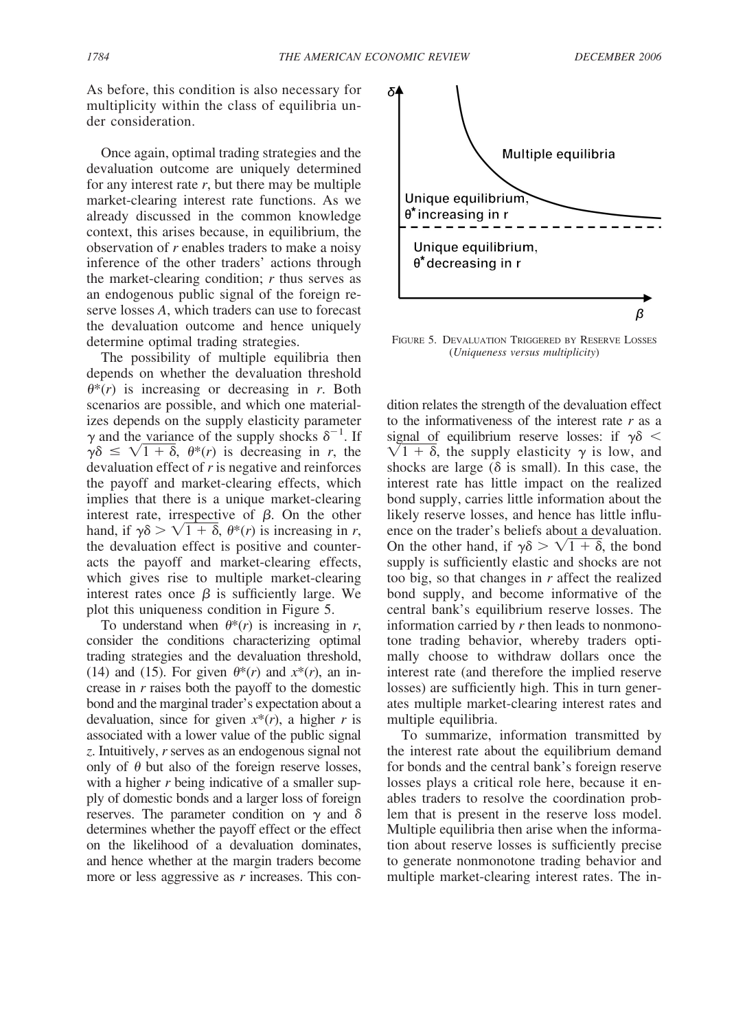As before, this condition is also necessary for multiplicity within the class of equilibria under consideration

Once again, optimal trading strategies and the devaluation outcome are uniquely determined for any interest rate  $r$ , but there may be multiple market-clearing interest rate functions. As we already discussed in the common knowledge context, this arises because, in equilibrium, the observation of r enables traders to make a noisy inference of the other traders' actions through the market-clearing condition;  $r$  thus serves as an endogenous public signal of the foreign reserve losses A, which traders can use to forecast the devaluation outcome and hence uniquely determine optimal trading strategies.

The possibility of multiple equilibria then depends on whether the devaluation threshold  $\theta^*(r)$  is increasing or decreasing in r. Both scenarios are possible, and which one materializes depends on the supply elasticity parameter  $\gamma$  and the variance of the supply shocks  $\delta^{-1}$ . If  $\gamma \delta \leq \sqrt{1+\delta}, \theta^*(r)$  is decreasing in r, the devaluation effect of  $r$  is negative and reinforces the payoff and market-clearing effects, which implies that there is a unique market-clearing interest rate, irrespective of  $\beta$ . On the other hand, if  $\gamma \delta > \sqrt{1 + \delta}$ ,  $\theta^*(r)$  is increasing in r, the devaluation effect is positive and counteracts the payoff and market-clearing effects, which gives rise to multiple market-clearing interest rates once  $\beta$  is sufficiently large. We plot this uniqueness condition in Figure 5.

To understand when  $\theta^*(r)$  is increasing in r, consider the conditions characterizing optimal trading strategies and the devaluation threshold, (14) and (15). For given  $\theta^*(r)$  and  $x^*(r)$ , an increase in  $r$  raises both the payoff to the domestic bond and the marginal trader's expectation about a devaluation, since for given  $x^*(r)$ , a higher r is associated with a lower value of the public signal z. Intuitively, r serves as an endogenous signal not only of  $\theta$  but also of the foreign reserve losses, with a higher  $r$  being indicative of a smaller supply of domestic bonds and a larger loss of foreign reserves. The parameter condition on  $\gamma$  and  $\delta$ determines whether the payoff effect or the effect on the likelihood of a devaluation dominates, and hence whether at the margin traders become more or less aggressive as  $r$  increases. This con-



FIGURE 5. DEVALUATION TRIGGERED BY RESERVE LOSSES (Uniqueness versus multiplicity)

dition relates the strength of the devaluation effect to the informativeness of the interest rate  $r$  as a signal of equilibrium reserve losses: if  $\gamma\delta$  <  $\sqrt{1 + \delta}$ , the supply elasticity  $\gamma$  is low, and shocks are large  $(\delta$  is small). In this case, the interest rate has little impact on the realized bond supply, carries little information about the likely reserve losses, and hence has little influence on the trader's beliefs about a devaluation. On the other hand, if  $\gamma \delta > \sqrt{1 + \delta}$ , the bond supply is sufficiently elastic and shocks are not too big, so that changes in  $r$  affect the realized bond supply, and become informative of the central bank's equilibrium reserve losses. The information carried by  $r$  then leads to nonmonotone trading behavior, whereby traders optimally choose to withdraw dollars once the interest rate (and therefore the implied reserve losses) are sufficiently high. This in turn generates multiple market-clearing interest rates and multiple equilibria.

To summarize, information transmitted by the interest rate about the equilibrium demand for bonds and the central bank's foreign reserve losses plays a critical role here, because it enables traders to resolve the coordination problem that is present in the reserve loss model. Multiple equilibria then arise when the information about reserve losses is sufficiently precise to generate nonmonotone trading behavior and multiple market-clearing interest rates. The in-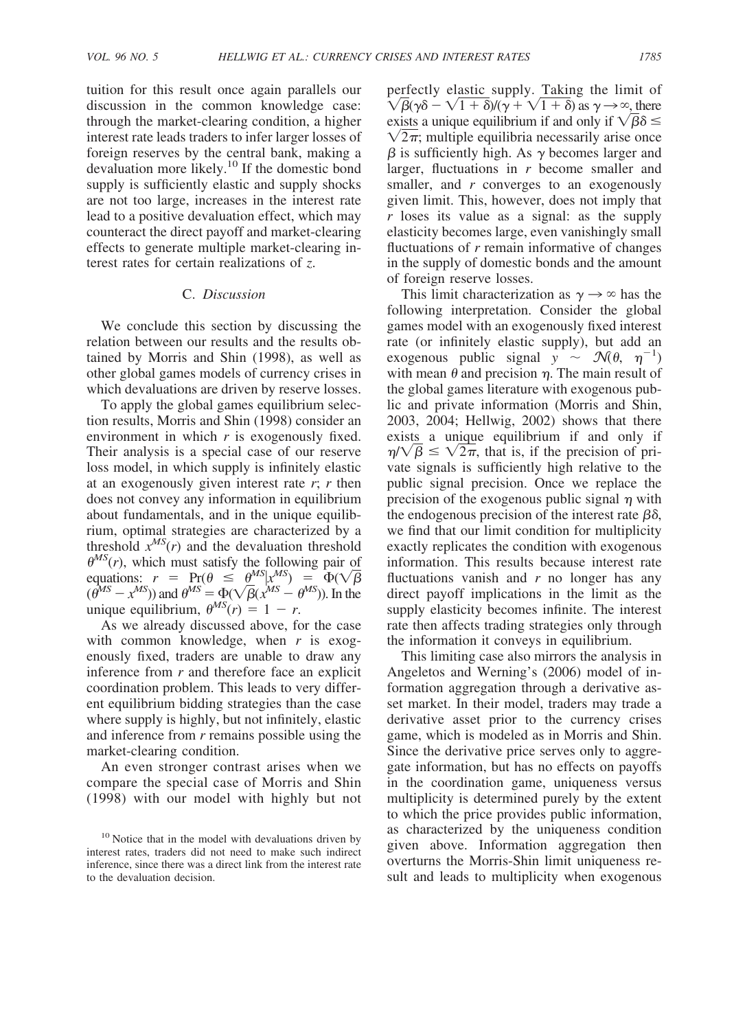tuition for this result once again parallels our discussion in the common knowledge case: through the market-clearing condition, a higher interest rate leads traders to infer larger losses of foreign reserves by the central bank, making a devaluation more likely.<sup>10</sup> If the domestic bond supply is sufficiently elastic and supply shocks are not too large, increases in the interest rate lead to a positive devaluation effect, which may counteract the direct payoff and market-clearing effects to generate multiple market-clearing interest rates for certain realizations of z.

### C. Discussion

We conclude this section by discussing the relation between our results and the results obtained by Morris and Shin (1998), as well as other global games models of currency crises in which devaluations are driven by reserve losses.

To apply the global games equilibrium selection results. Morris and Shin (1998) consider an environment in which  $r$  is exogenously fixed. Their analysis is a special case of our reserve loss model, in which supply is infinitely elastic at an exogenously given interest rate  $r$ ;  $r$  then does not convey any information in equilibrium about fundamentals, and in the unique equilibrium, optimal strategies are characterized by a threshold  $x^{MS}(r)$  and the devaluation threshold  $\theta^{MS}(r)$ , which must satisfy the following pair of equations:  $r = Pr(\theta \le \theta^{MS} | x^{MS}) = \Phi(\sqrt{\beta}$ <br>  $(\theta^{MS} - x^{MS})$  and  $\theta^{MS} = \Phi(\sqrt{\beta}(x^{MS} - \theta^{MS}))$ . In the unique equilibrium,  $\theta^{MS}(r) = 1 - r$ .

As we already discussed above, for the case with common knowledge, when  $r$  is exogenously fixed, traders are unable to draw any inference from  $r$  and therefore face an explicit coordination problem. This leads to very different equilibrium bidding strategies than the case where supply is highly, but not infinitely, elastic and inference from  $r$  remains possible using the market-clearing condition.

An even stronger contrast arises when we compare the special case of Morris and Shin (1998) with our model with highly but not

perfectly elastic supply. Taking the limit of  $\sqrt{\beta}(\gamma\delta - \sqrt{1+\delta})/(\gamma + \sqrt{1+\delta})$  as  $\gamma \to \infty$ , there exists a unique equilibrium if and only if  $\sqrt{\beta} \delta \leq$  $\sqrt{2\pi}$ ; multiple equilibria necessarily arise once  $\beta$  is sufficiently high. As  $\gamma$  becomes larger and larger, fluctuations in  $r$  become smaller and smaller, and  $r$  converges to an exogenously given limit. This, however, does not imply that  $\overline{r}$  loses its value as a signal: as the supply elasticity becomes large, even vanishingly small fluctuations of  $r$  remain informative of changes in the supply of domestic bonds and the amount of foreign reserve losses.

This limit characterization as  $\gamma \rightarrow \infty$  has the following interpretation. Consider the global games model with an exogenously fixed interest rate (or infinitely elastic supply), but add an exogenous public signal  $y \sim \mathcal{N}(\theta, \eta^{-1})$ with mean  $\theta$  and precision  $\eta$ . The main result of the global games literature with exogenous public and private information (Morris and Shin, 2003, 2004; Hellwig, 2002) shows that there exists a unique equilibrium if and only if  $\eta/\sqrt{\beta} \leq \sqrt{2\pi}$ , that is, if the precision of private signals is sufficiently high relative to the public signal precision. Once we replace the precision of the exogenous public signal  $\eta$  with the endogenous precision of the interest rate  $\beta \delta$ , we find that our limit condition for multiplicity exactly replicates the condition with exogenous information. This results because interest rate fluctuations vanish and  $r$  no longer has any direct payoff implications in the limit as the supply elasticity becomes infinite. The interest rate then affects trading strategies only through the information it conveys in equilibrium.

This limiting case also mirrors the analysis in Angeletos and Werning's (2006) model of information aggregation through a derivative asset market. In their model, traders may trade a derivative asset prior to the currency crises game, which is modeled as in Morris and Shin. Since the derivative price serves only to aggregate information, but has no effects on payoffs in the coordination game, uniqueness versus multiplicity is determined purely by the extent to which the price provides public information, as characterized by the uniqueness condition given above. Information aggregation then overturns the Morris-Shin limit uniqueness result and leads to multiplicity when exogenous

<sup>&</sup>lt;sup>10</sup> Notice that in the model with devaluations driven by interest rates, traders did not need to make such indirect inference, since there was a direct link from the interest rate to the devaluation decision.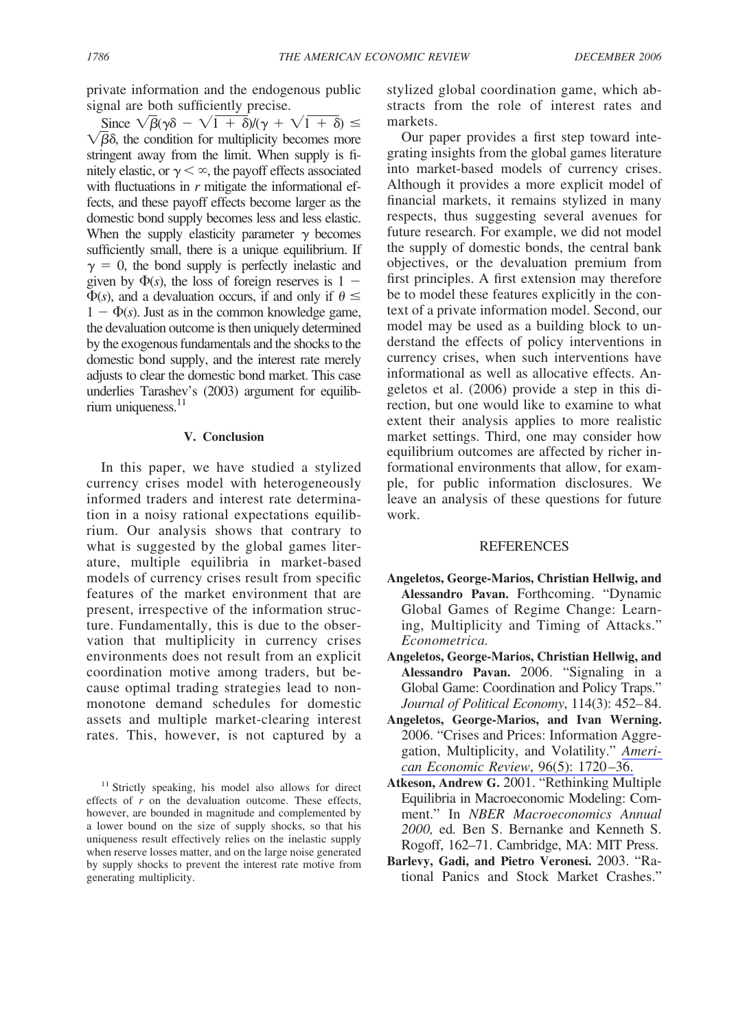private information and the endogenous public signal are both sufficiently precise.

Since  $\sqrt{\beta}(\gamma\delta - \sqrt{1 + \delta})/(\gamma + \sqrt{1 + \delta}) \le$  $\sqrt{\beta} \delta$ , the condition for multiplicity becomes more stringent away from the limit. When supply is finitely elastic, or  $\gamma < \infty$ , the payoff effects associated with fluctuations in  $r$  mitigate the informational effects, and these payoff effects become larger as the domestic bond supply becomes less and less elastic. When the supply elasticity parameter  $\gamma$  becomes sufficiently small, there is a unique equilibrium. If  $\gamma = 0$ , the bond supply is perfectly inelastic and given by  $\Phi(s)$ , the loss of foreign reserves is 1 –  $\Phi(s)$ , and a devaluation occurs, if and only if  $\theta \leq$  $1 - \Phi(s)$ . Just as in the common knowledge game, the devaluation outcome is then uniquely determined by the exogenous fundamentals and the shocks to the domestic bond supply, and the interest rate merely adjusts to clear the domestic bond market. This case underlies Tarashev's (2003) argument for equilibrium uniqueness. $11$ 

#### V. Conclusion

In this paper, we have studied a stylized currency crises model with heterogeneously informed traders and interest rate determination in a noisy rational expectations equilibrium. Our analysis shows that contrary to what is suggested by the global games literature, multiple equilibria in market-based models of currency crises result from specific features of the market environment that are present, irrespective of the information structure. Fundamentally, this is due to the observation that multiplicity in currency crises environments does not result from an explicit coordination motive among traders, but because optimal trading strategies lead to nonmonotone demand schedules for domestic assets and multiple market-clearing interest rates. This, however, is not captured by a

<sup>11</sup> Strictly speaking, his model also allows for direct effects of  $r$  on the devaluation outcome. These effects, however, are bounded in magnitude and complemented by a lower bound on the size of supply shocks, so that his uniqueness result effectively relies on the inelastic supply when reserve losses matter, and on the large noise generated by supply shocks to prevent the interest rate motive from generating multiplicity.

stylized global coordination game, which abstracts from the role of interest rates and markets

Our paper provides a first step toward integrating insights from the global games literature into market-based models of currency crises. Although it provides a more explicit model of financial markets, it remains stylized in many respects, thus suggesting several avenues for future research. For example, we did not model the supply of domestic bonds, the central bank objectives, or the devaluation premium from first principles. A first extension may therefore be to model these features explicitly in the context of a private information model. Second, our model may be used as a building block to understand the effects of policy interventions in currency crises, when such interventions have informational as well as allocative effects. Angeletos et al. (2006) provide a step in this direction, but one would like to examine to what extent their analysis applies to more realistic market settings. Third, one may consider how equilibrium outcomes are affected by richer informational environments that allow, for example, for public information disclosures. We leave an analysis of these questions for future work.

### **REFERENCES**

- Angeletos, George-Marios, Christian Hellwig, and Alessandro Pavan. Forthcoming. "Dynamic Global Games of Regime Change: Learning, Multiplicity and Timing of Attacks." *Econometrica*
- Angeletos, George-Marios, Christian Hellwig, and Alessandro Pavan. 2006. "Signaling in a Global Game: Coordination and Policy Traps." Journal of Political Economy, 114(3): 452-84.
- Angeletos, George-Marios, and Ivan Werning. 2006. "Crises and Prices: Information Aggregation, Multiplicity, and Volatility." American Economic Review, 96(5): 1720-36.
- Atkeson, Andrew G. 2001. "Rethinking Multiple Equilibria in Macroeconomic Modeling: Comment." In NBER Macroeconomics Annual 2000, ed. Ben S. Bernanke and Kenneth S. Rogoff, 162-71. Cambridge, MA: MIT Press.
- Barlevy, Gadi, and Pietro Veronesi. 2003. "Rational Panics and Stock Market Crashes."